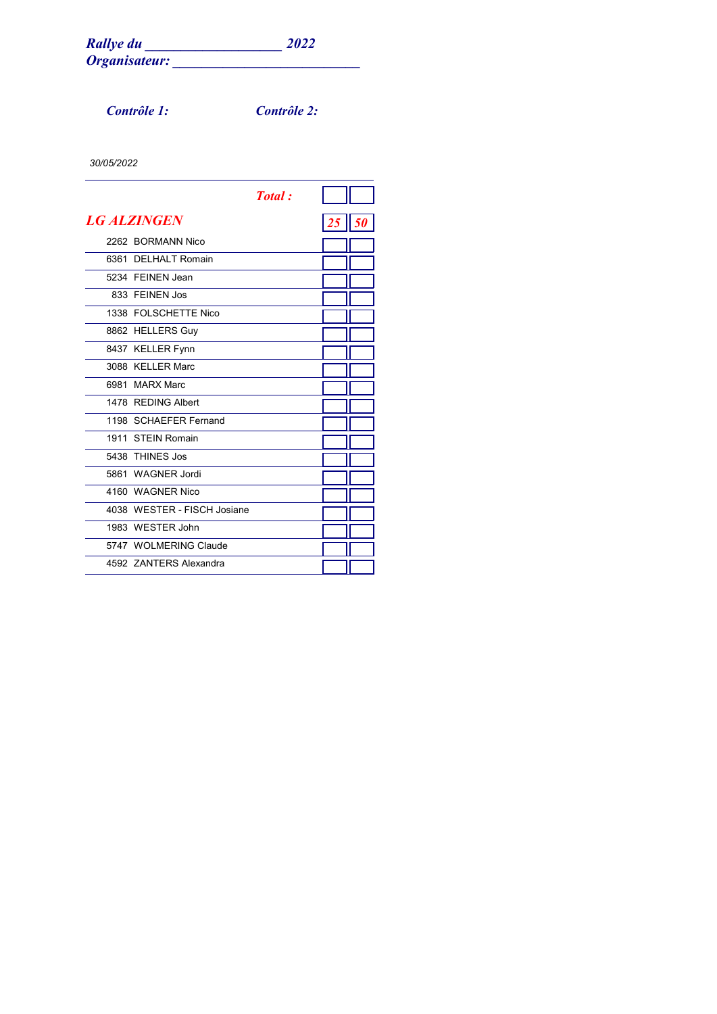*Contrôle 1: Contrôle 2:*

|                             | <b>Total</b> : |    |  |
|-----------------------------|----------------|----|--|
| <b>LG ALZINGEN</b>          |                | 25 |  |
| 2262 BORMANN Nico           |                |    |  |
| 6361 DELHALT Romain         |                |    |  |
| 5234 FEINEN Jean            |                |    |  |
| 833 FFINEN Jos              |                |    |  |
| 1338 FOLSCHETTE Nico        |                |    |  |
| 8862 HELLERS Guy            |                |    |  |
| 8437 KELLER Fynn            |                |    |  |
| 3088 KELLER Marc            |                |    |  |
| 6981 MARX Marc              |                |    |  |
| 1478 REDING Albert          |                |    |  |
| 1198 SCHAEFER Fernand       |                |    |  |
| 1911 STFIN Romain           |                |    |  |
| 5438 THINES Jos             |                |    |  |
| 5861 WAGNER Jordi           |                |    |  |
| 4160 WAGNER Nico            |                |    |  |
| 4038 WESTER - FISCH Josiane |                |    |  |
| 1983 WESTER John            |                |    |  |
| 5747 WOLMERING Claude       |                |    |  |
| 4592 ZANTERS Alexandra      |                |    |  |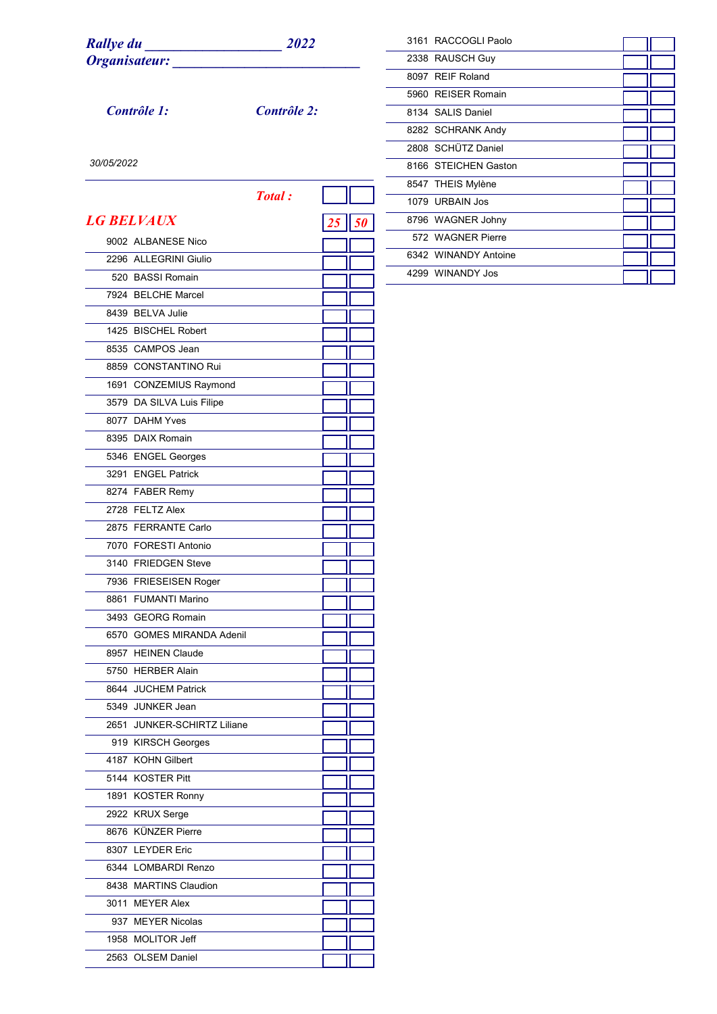*Contrôle 1: Contrôle 2:*

| 3161 RACCOGLI Paolo  |  |
|----------------------|--|
| 2338 RAUSCH Guy      |  |
| 8097 REIF Roland     |  |
| 5960 REISER Romain   |  |
| 8134 SALIS Daniel    |  |
| 8282 SCHRANK Andy    |  |
| 2808 SCHÜTZ Daniel   |  |
| 8166 STEICHEN Gaston |  |
| 8547 THEIS Mylène    |  |
| 1079 URBAIN Jos      |  |
| 8796 WAGNER Johny    |  |
| 572 WAGNER Pierre    |  |
| 6342 WINANDY Antoine |  |
| 4299 WINANDY Jos     |  |

÷

|      |                               | <b>Total</b> : |  |
|------|-------------------------------|----------------|--|
|      | <b>LG BELVAUX</b>             |                |  |
|      | 9002 ALBANESE Nico            |                |  |
|      | 2296 ALLEGRINI Giulio         |                |  |
|      | 520 BASSI Romain              |                |  |
|      | 7924 BELCHE Marcel            |                |  |
|      | 8439 BELVA Julie              |                |  |
|      | 1425 BISCHEL Robert           |                |  |
|      | 8535 CAMPOS Jean              |                |  |
|      | 8859 CONSTANTINO Rui          |                |  |
|      | 1691 CONZEMIUS Raymond        |                |  |
|      | 3579 DA SILVA Luis Filipe     |                |  |
|      | 8077 DAHM Yves                |                |  |
|      | 8395 DAIX Romain              |                |  |
|      | 5346 ENGEL Georges            |                |  |
|      | 3291 ENGEL Patrick            |                |  |
|      | 8274 FABER Remy               |                |  |
|      | 2728 FELTZ Alex               |                |  |
|      | 2875 FERRANTE Carlo           |                |  |
|      | 7070 FORESTI Antonio          |                |  |
|      | 3140 FRIEDGEN Steve           |                |  |
|      | 7936 FRIESEISEN Roger         |                |  |
|      | 8861 FUMANTI Marino           |                |  |
|      | 3493 GEORG Romain             |                |  |
|      | 6570 GOMES MIRANDA Adenil     |                |  |
|      | 8957 HEINEN Claude            |                |  |
|      | 5750 HERBER Alain             |                |  |
|      | 8644 JUCHEM Patrick           |                |  |
|      | 5349 JUNKER Jean              |                |  |
| 2651 | <b>JUNKER-SCHIRTZ Liliane</b> |                |  |
|      | 919 KIRSCH Georges            |                |  |
|      | 4187 KOHN Gilbert             |                |  |
|      | 5144 KOSTER Pitt              |                |  |
|      | 1891 KOSTER Ronny             |                |  |
|      | 2922 KRUX Serge               |                |  |
|      | 8676 KÜNZER Pierre            |                |  |
|      | 8307 LEYDER Eric              |                |  |
|      | 6344 LOMBARDI Renzo           |                |  |
|      | 8438 MARTINS Claudion         |                |  |
|      | 3011 MEYER Alex               |                |  |
|      | 937 MEYER Nicolas             |                |  |
|      | 1958 MOLITOR Jeff             |                |  |
|      | 2563 OLSEM Daniel             |                |  |
|      |                               |                |  |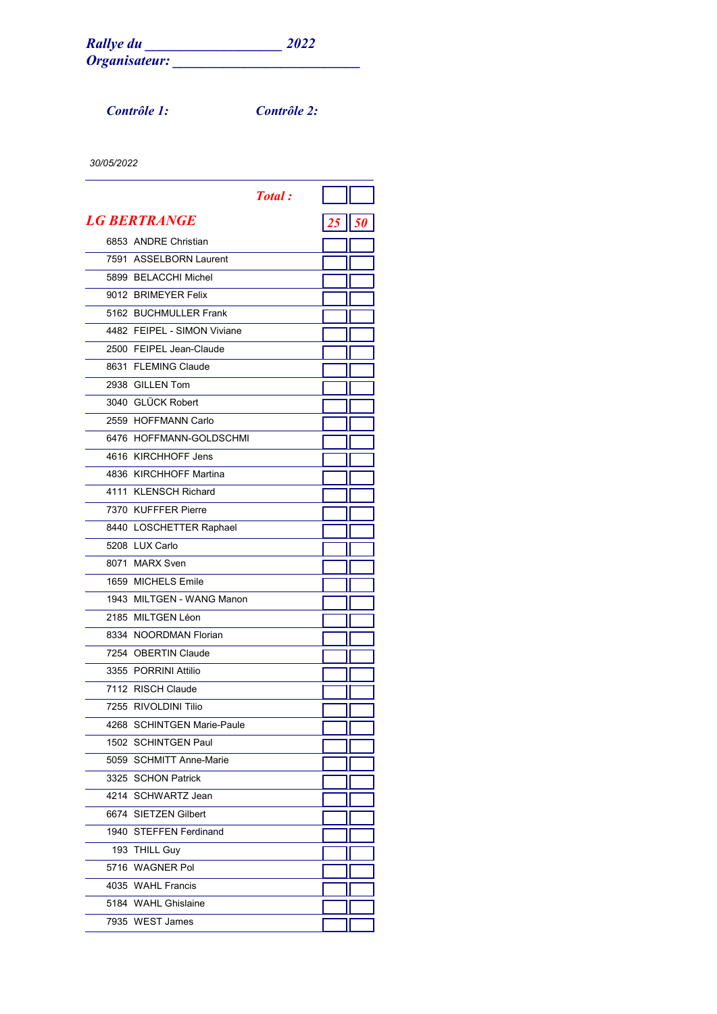*Contrôle 1: Contrôle 2:*

|                             | <b>Total</b> : |          |  |
|-----------------------------|----------------|----------|--|
| <i><b>LG BERTRANGE</b></i>  |                | 25    50 |  |
| 6853 ANDRE Christian        |                |          |  |
| 7591 ASSELBORN Laurent      |                |          |  |
| 5899 BELACCHI Michel        |                |          |  |
| 9012 BRIMEYER Felix         |                |          |  |
| 5162 BUCHMULLER Frank       |                |          |  |
| 4482 FEIPEL - SIMON Viviane |                |          |  |
| 2500 FEIPEL Jean-Claude     |                |          |  |
| 8631 FLEMING Claude         |                |          |  |
| 2938 GILLEN Tom             |                |          |  |
| 3040 GLÜCK Robert           |                |          |  |
| 2559 HOFFMANN Carlo         |                |          |  |
| 6476 HOFFMANN-GOLDSCHMI     |                |          |  |
| 4616 KIRCHHOFF Jens         |                |          |  |
| 4836 KIRCHHOFF Martina      |                |          |  |
| 4111 KLENSCH Richard        |                |          |  |
| 7370 KUFFFER Pierre         |                |          |  |
| 8440 LOSCHETTER Raphael     |                |          |  |
| 5208 LUX Carlo              |                |          |  |
| 8071 MARX Sven              |                |          |  |
| 1659 MICHELS Emile          |                |          |  |
| 1943 MILTGEN - WANG Manon   |                |          |  |
| 2185 MILTGEN Léon           |                |          |  |
| 8334 NOORDMAN Florian       |                |          |  |
| 7254 OBERTIN Claude         |                |          |  |
| 3355 PORRINI Attilio        |                |          |  |
| 7112 RISCH Claude           |                |          |  |
| 7255 RIVOLDINI Tilio        |                |          |  |
| 4268 SCHINTGEN Marie-Paule  |                |          |  |
| 1502 SCHINTGEN Paul         |                |          |  |
| 5059 SCHMITT Anne-Marie     |                |          |  |
| 3325 SCHON Patrick          |                |          |  |
| 4214 SCHWARTZ Jean          |                |          |  |
| 6674 SIETZEN Gilbert        |                |          |  |
| 1940 STEFFEN Ferdinand      |                |          |  |
| 193 THILL Guy               |                |          |  |
| 5716 WAGNER Pol             |                |          |  |
| 4035 WAHL Francis           |                |          |  |
| 5184 WAHL Ghislaine         |                |          |  |
| 7935 WEST James             |                |          |  |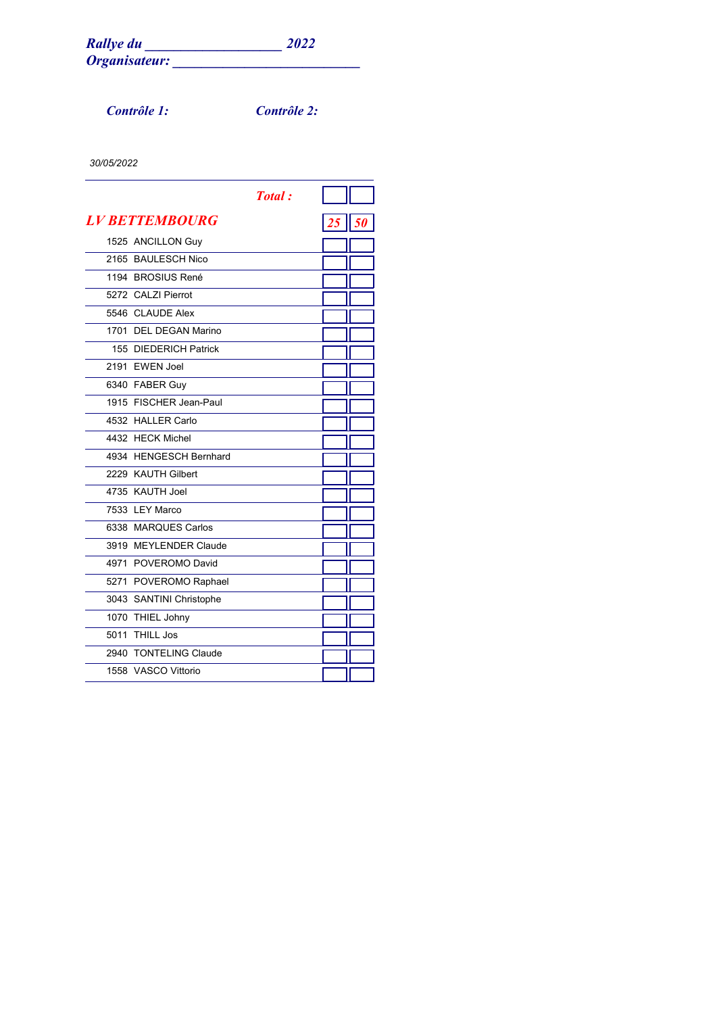*Contrôle 1: Contrôle 2:*

|      |                         | <b>Total</b> : |    |
|------|-------------------------|----------------|----|
|      | <b>LV BETTEMBOURG</b>   |                | 50 |
|      | 1525 ANCILLON Guy       |                |    |
| 2165 | <b>BAULESCH Nico</b>    |                |    |
|      | 1194 BROSIUS René       |                |    |
|      | 5272 CALZI Pierrot      |                |    |
|      | 5546 CLAUDE Alex        |                |    |
|      | 1701 DEL DEGAN Marino   |                |    |
|      | 155 DIEDERICH Patrick   |                |    |
| 2191 | <b>EWEN Joel</b>        |                |    |
|      | 6340 FABER Guy          |                |    |
|      | 1915 FISCHER Jean-Paul  |                |    |
|      | 4532 HALLER Carlo       |                |    |
|      | 4432 HECK Michel        |                |    |
|      | 4934 HENGESCH Bernhard  |                |    |
|      | 2229 KAUTH Gilbert      |                |    |
|      | 4735 KAUTH Joel         |                |    |
|      | 7533 LEY Marco          |                |    |
|      | 6338 MARQUES Carlos     |                |    |
|      | 3919 MEYLENDER Claude   |                |    |
|      | 4971 POVEROMO David     |                |    |
|      | 5271 POVEROMO Raphael   |                |    |
|      | 3043 SANTINI Christophe |                |    |
|      | 1070 THIEL Johny        |                |    |
| 5011 | <b>THILL Jos</b>        |                |    |
| 2940 | <b>TONTELING Claude</b> |                |    |
|      | 1558 VASCO Vittorio     |                |    |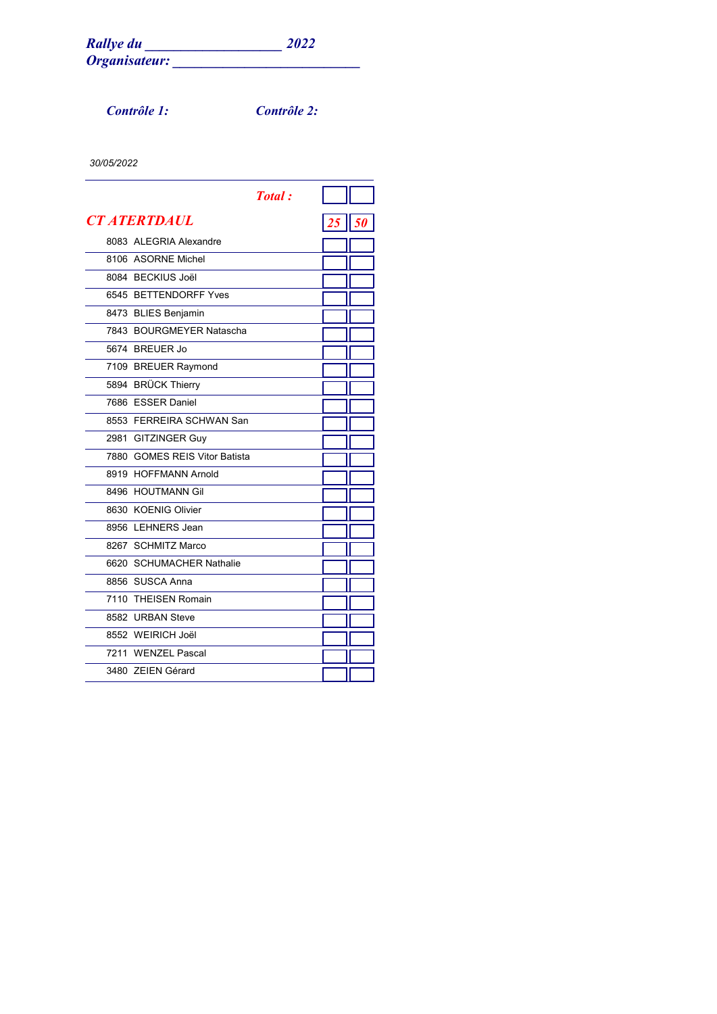*Contrôle 1: Contrôle 2:*

|                               | <b>Total</b> : |                |  |
|-------------------------------|----------------|----------------|--|
| <b>CT ATERTDAUL</b>           |                | $25 \,$   $50$ |  |
| 8083 ALEGRIA Alexandre        |                |                |  |
| 8106 ASORNE Michel            |                |                |  |
| 8084 BECKIUS Joël             |                |                |  |
| 6545 BETTENDORFF Yves         |                |                |  |
| 8473 BLIES Benjamin           |                |                |  |
| 7843 BOURGMEYER Natascha      |                |                |  |
| 5674 BREUER Jo                |                |                |  |
| 7109 BREUER Raymond           |                |                |  |
| 5894 BRÜCK Thierry            |                |                |  |
| 7686 ESSER Daniel             |                |                |  |
| 8553 FERREIRA SCHWAN San      |                |                |  |
| 2981 GITZINGER Guy            |                |                |  |
| 7880 GOMES REIS Vitor Batista |                |                |  |
| 8919 HOFFMANN Arnold          |                |                |  |
| 8496 HOUTMANN Gil             |                |                |  |
| 8630 KOENIG Olivier           |                |                |  |
| 8956 LEHNERS Jean             |                |                |  |
| 8267 SCHMITZ Marco            |                |                |  |
| 6620 SCHUMACHER Nathalie      |                |                |  |
| 8856 SUSCA Anna               |                |                |  |
| 7110 THEISEN Romain           |                |                |  |
| 8582 URBAN Steve              |                |                |  |
| 8552 WEIRICH Joël             |                |                |  |
| 7211 WENZEL Pascal            |                |                |  |
| 3480 ZEIEN Gérard             |                |                |  |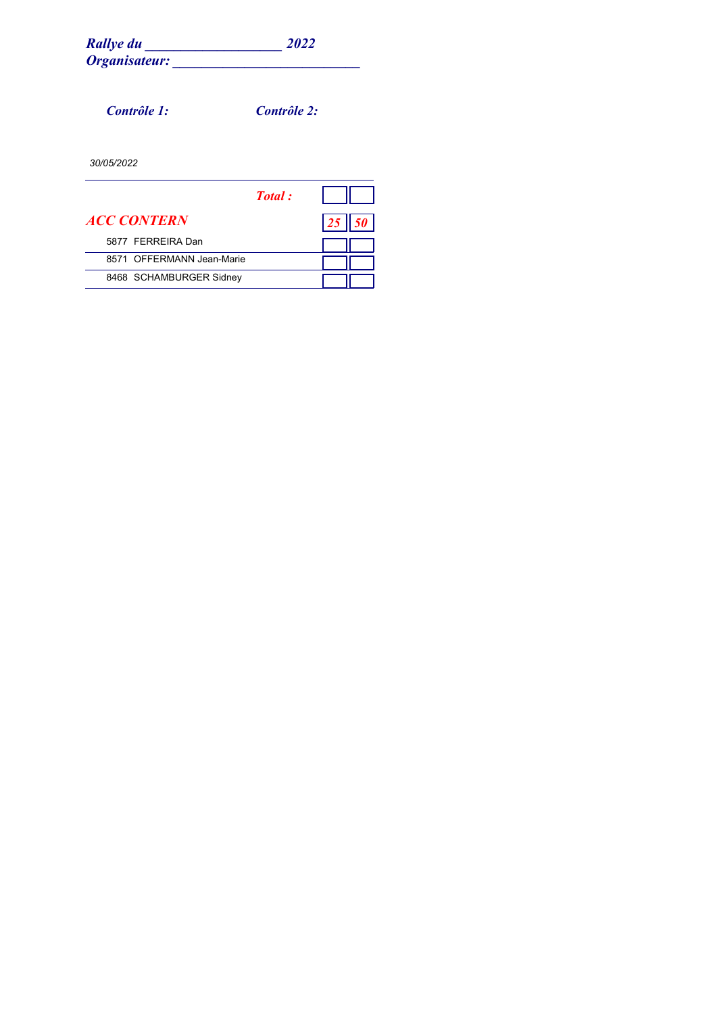| <b>Rallye du</b> | 2022 |
|------------------|------|
| Organisateur:    |      |

*Rallye du \_\_\_\_\_\_\_\_\_\_\_\_\_\_\_\_\_\_\_ 2022*

*Contrôle 1: Contrôle 2:*

|                           | Total: |    |  |
|---------------------------|--------|----|--|
| <i><b>ACC CONTERN</b></i> |        | 25 |  |
| 5877 FFRRFIRA Dan         |        |    |  |
| 8571 OFFERMANN Jean-Marie |        |    |  |
| 8468 SCHAMBURGER Sidney   |        |    |  |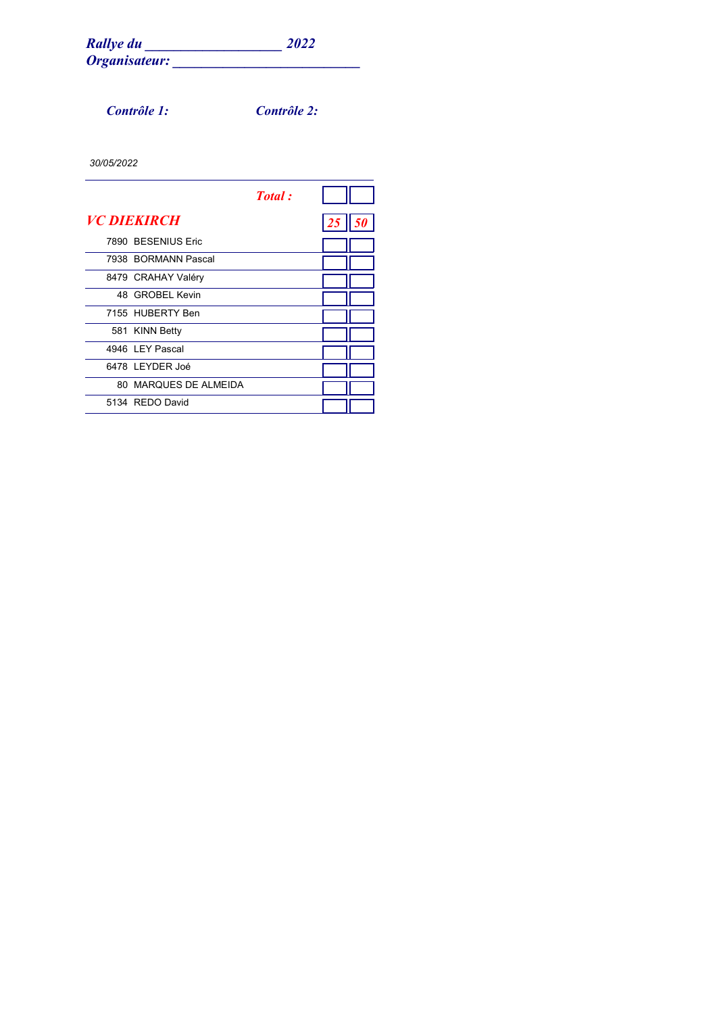*Contrôle 1: Contrôle 2:*

|                           | Total: |    |  |
|---------------------------|--------|----|--|
| <i><b>VC DIEKIRCH</b></i> |        | 25 |  |
| 7890 BESENIUS Eric        |        |    |  |
| 7938 BORMANN Pascal       |        |    |  |
| 8479 CRAHAY Valéry        |        |    |  |
| 48 GROBEL Kevin           |        |    |  |
| 7155 HUBERTY Ben          |        |    |  |
| 581 KINN Betty            |        |    |  |
| 4946 I FY Pascal          |        |    |  |
| 6478 LEYDER Joé           |        |    |  |
| 80 MARQUES DE ALMEIDA     |        |    |  |
| 5134 REDO David           |        |    |  |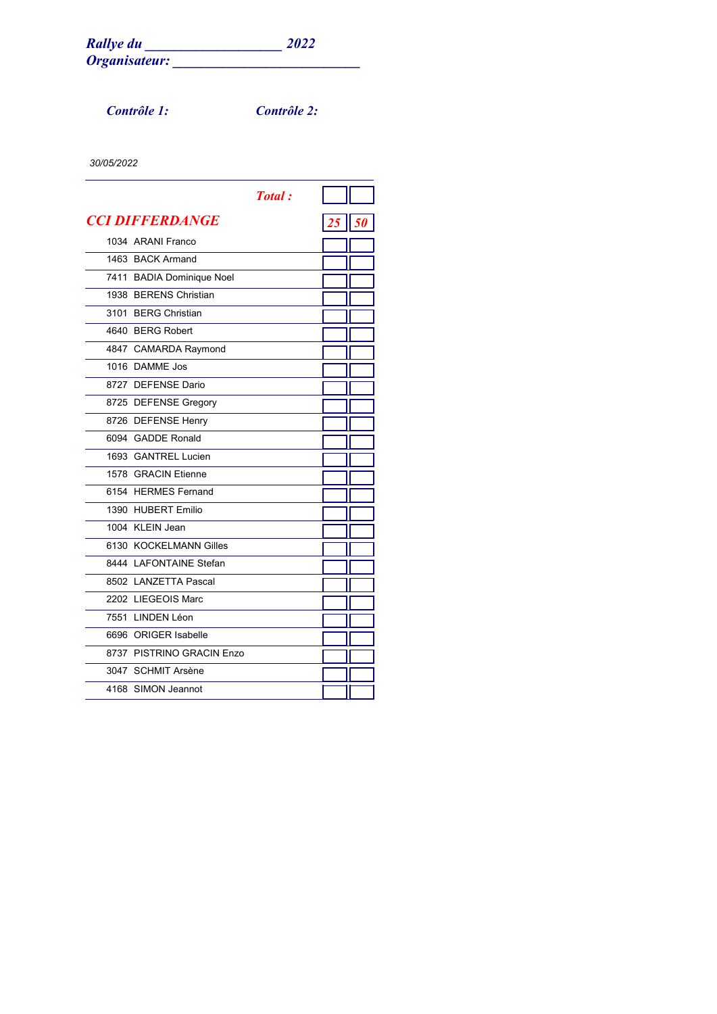*Contrôle 1: Contrôle 2:*

|                           | <b>Total</b> : |         |  |
|---------------------------|----------------|---------|--|
| <b>CCI DIFFERDANGE</b>    |                | $25$ 50 |  |
| 1034 ARANI Franco         |                |         |  |
| 1463 BACK Armand          |                |         |  |
| 7411 BADIA Dominique Noel |                |         |  |
| 1938 BERENS Christian     |                |         |  |
| 3101 BERG Christian       |                |         |  |
| 4640 BERG Robert          |                |         |  |
| 4847 CAMARDA Raymond      |                |         |  |
| 1016 DAMME Jos            |                |         |  |
| 8727 DEFENSE Dario        |                |         |  |
| 8725 DEFENSE Gregory      |                |         |  |
| 8726 DEFENSE Henry        |                |         |  |
| 6094 GADDE Ronald         |                |         |  |
| 1693 GANTREL Lucien       |                |         |  |
| 1578 GRACIN Etienne       |                |         |  |
| 6154 HERMES Fernand       |                |         |  |
| 1390 HUBERT Emilio        |                |         |  |
| 1004 KLEIN Jean           |                |         |  |
| 6130 KOCKELMANN Gilles    |                |         |  |
| 8444 LAFONTAINE Stefan    |                |         |  |
| 8502 LANZETTA Pascal      |                |         |  |
| 2202 LIEGEOIS Marc        |                |         |  |
| 7551 LINDEN Léon          |                |         |  |
| 6696 ORIGER Isabelle      |                |         |  |
| 8737 PISTRINO GRACIN Enzo |                |         |  |
| 3047 SCHMIT Arsène        |                |         |  |
| 4168 SIMON Jeannot        |                |         |  |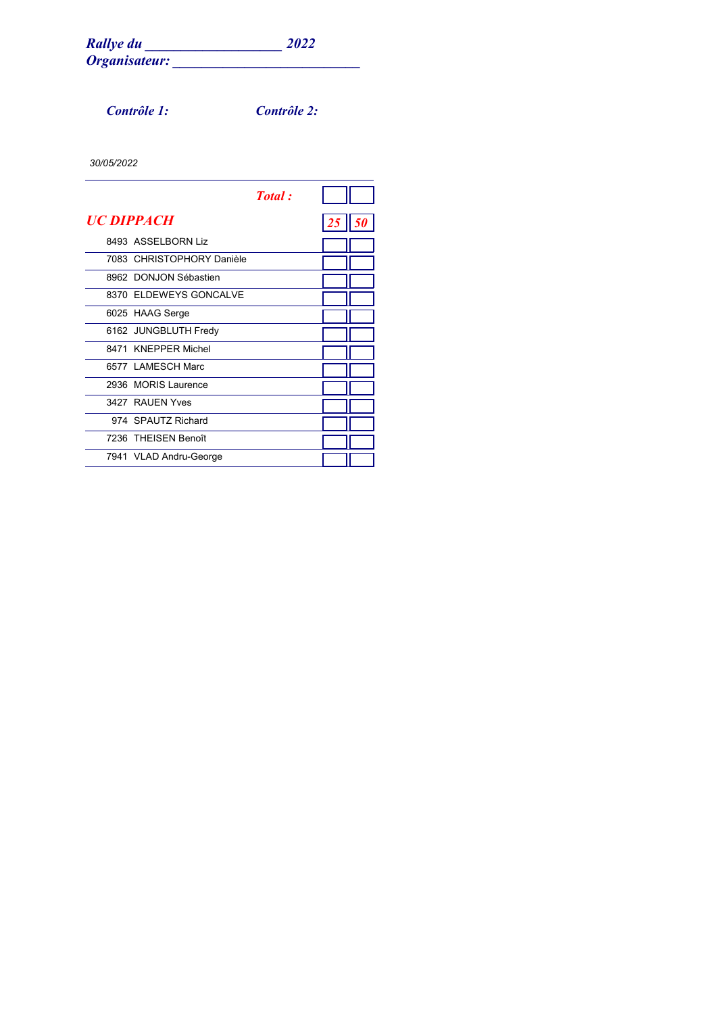*Contrôle 1: Contrôle 2:*

|                           | <b>Total</b> : |    |    |
|---------------------------|----------------|----|----|
| <i><b>UC DIPPACH</b></i>  |                | 25 | 51 |
| 8493 ASSELBORN Liz        |                |    |    |
| 7083 CHRISTOPHORY Danièle |                |    |    |
| 8962 DONJON Sébastien     |                |    |    |
| 8370 ELDEWEYS GONCALVE    |                |    |    |
| 6025 HAAG Serge           |                |    |    |
| 6162 JUNGBLUTH Fredy      |                |    |    |
| 8471 KNEPPER Michel       |                |    |    |
| 6577 LAMESCH Marc         |                |    |    |
| 2936 MORIS Laurence       |                |    |    |
| 3427 RAUFN Yves           |                |    |    |
| 974 SPAUTZ Richard        |                |    |    |
| 7236 THEISEN Benoît       |                |    |    |
| 7941 VLAD Andru-George    |                |    |    |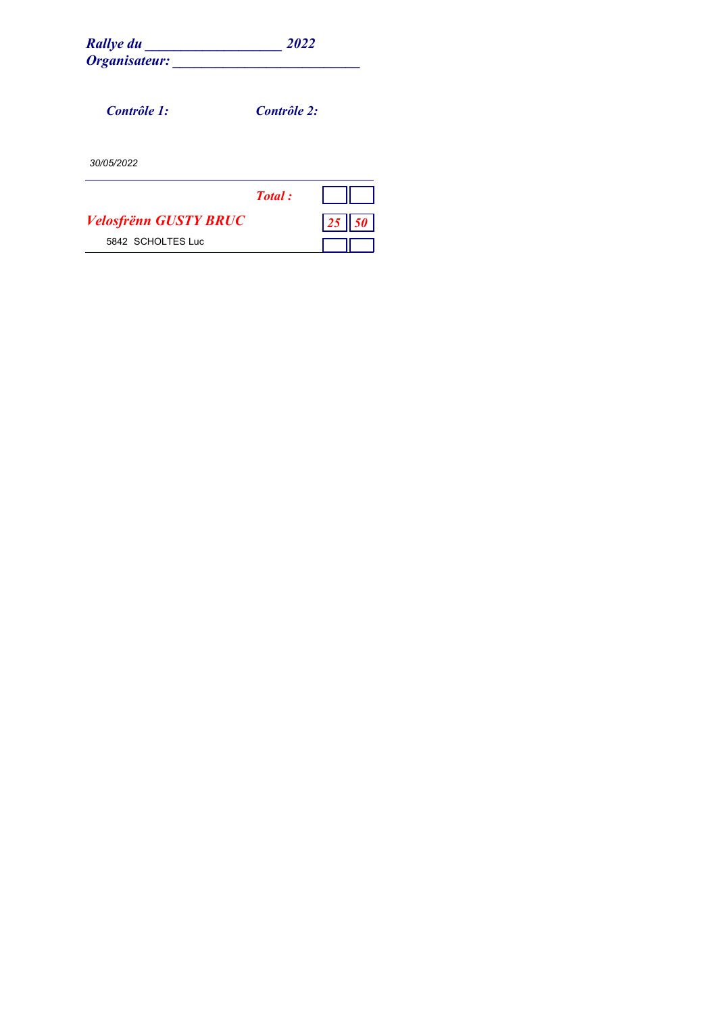| Rallye du<br>Organisateur:   | 2022        |  |
|------------------------------|-------------|--|
| Contrôle 1:                  | Contrôle 2: |  |
| 30/05/2022                   |             |  |
|                              | Total:      |  |
| <b>Velosfrënn GUSTY BRUC</b> |             |  |
| 5842 SCHOLTES Luc            |             |  |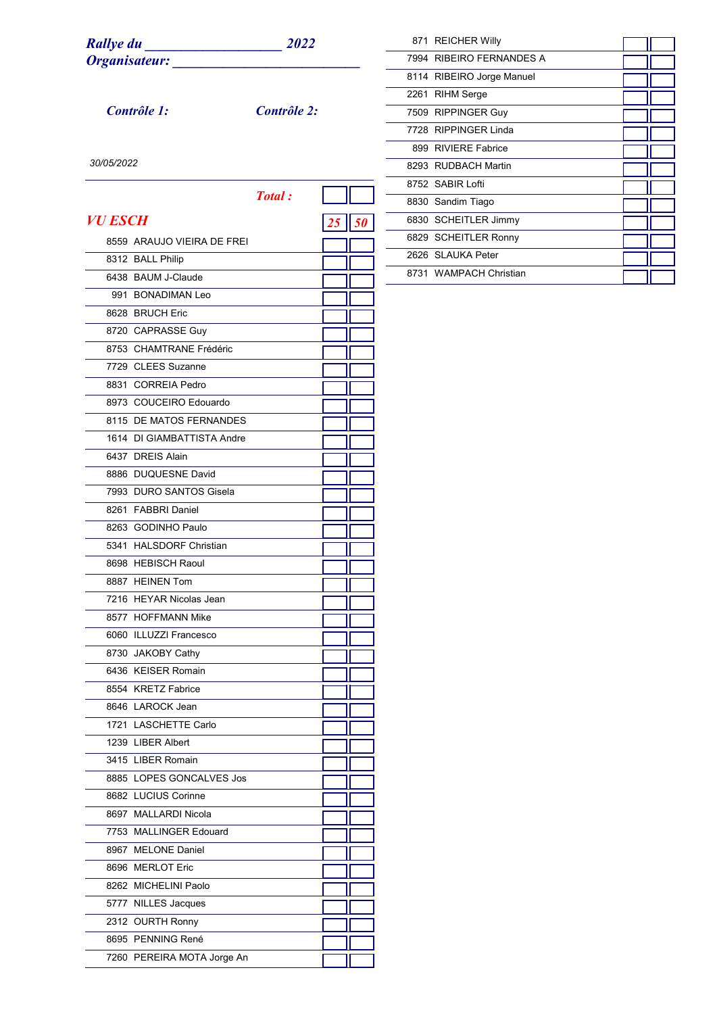*Contrôle 1: Contrôle 2:*

| 871 REICHER Willy         |  |
|---------------------------|--|
| 7994 RIBEIRO FERNANDES A  |  |
| 8114 RIBEIRO Jorge Manuel |  |
| 2261 RIHM Serge           |  |
| 7509 RIPPINGER Guy        |  |
| 7728 RIPPINGFR Linda      |  |
| 899 RIVIERE Fabrice       |  |
| 8293 RUDBACH Martin       |  |
| 8752 SABIR Loffi          |  |
| 8830 Sandim Tiago         |  |
| 6830 SCHEITLER Jimmy      |  |
| 6829 SCHEITLER Ronny      |  |
| 2626 SLAUKA Peter         |  |
| 8731 WAMPACH Christian    |  |

|                |                            | <b>Total</b> : |  |
|----------------|----------------------------|----------------|--|
| <i>VU ESCH</i> |                            |                |  |
|                | 8559 ARAUJO VIEIRA DE FREI |                |  |
|                | 8312 BALL Philip           |                |  |
|                | 6438 BAUM J-Claude         |                |  |
|                | 991 BONADIMAN Leo          |                |  |
|                | 8628 BRUCH Eric            |                |  |
|                | 8720 CAPRASSE Guy          |                |  |
|                | 8753 CHAMTRANE Frédéric    |                |  |
|                | 7729 CLEES Suzanne         |                |  |
|                | 8831 CORREIA Pedro         |                |  |
|                | 8973 COUCEIRO Edouardo     |                |  |
|                | 8115 DE MATOS FERNANDES    |                |  |
|                | 1614 DI GIAMBATTISTA Andre |                |  |
|                | 6437 DREIS Alain           |                |  |
|                | 8886 DUQUESNE David        |                |  |
|                | 7993 DURO SANTOS Gisela    |                |  |
|                | 8261 FABBRI Daniel         |                |  |
|                | 8263 GODINHO Paulo         |                |  |
|                | 5341 HALSDORF Christian    |                |  |
|                | 8698 HEBISCH Raoul         |                |  |
|                | 8887 HEINEN Tom            |                |  |
|                | 7216 HEYAR Nicolas Jean    |                |  |
|                | 8577 HOFFMANN Mike         |                |  |
|                | 6060 ILLUZZI Francesco     |                |  |
|                | 8730 JAKOBY Cathy          |                |  |
|                | 6436 KEISER Romain         |                |  |
|                | 8554 KRETZ Fabrice         |                |  |
|                | 8646 LAROCK Jean           |                |  |
|                | 1721 LASCHETTE Carlo       |                |  |
|                | 1239 LIBER Albert          |                |  |
|                | 3415 LIBER Romain          |                |  |
|                | 8885 LOPES GONCALVES Jos   |                |  |
|                | 8682 LUCIUS Corinne        |                |  |
|                | 8697 MALLARDI Nicola       |                |  |
|                | 7753 MALLINGER Edouard     |                |  |
|                | 8967 MELONE Daniel         |                |  |
|                | 8696 MERLOT Eric           |                |  |
|                | 8262 MICHELINI Paolo       |                |  |
|                | 5777 NILLES Jacques        |                |  |
|                | 2312 OURTH Ronny           |                |  |
|                | 8695 PENNING René          |                |  |
|                | 7260 PEREIRA MOTA Jorge An |                |  |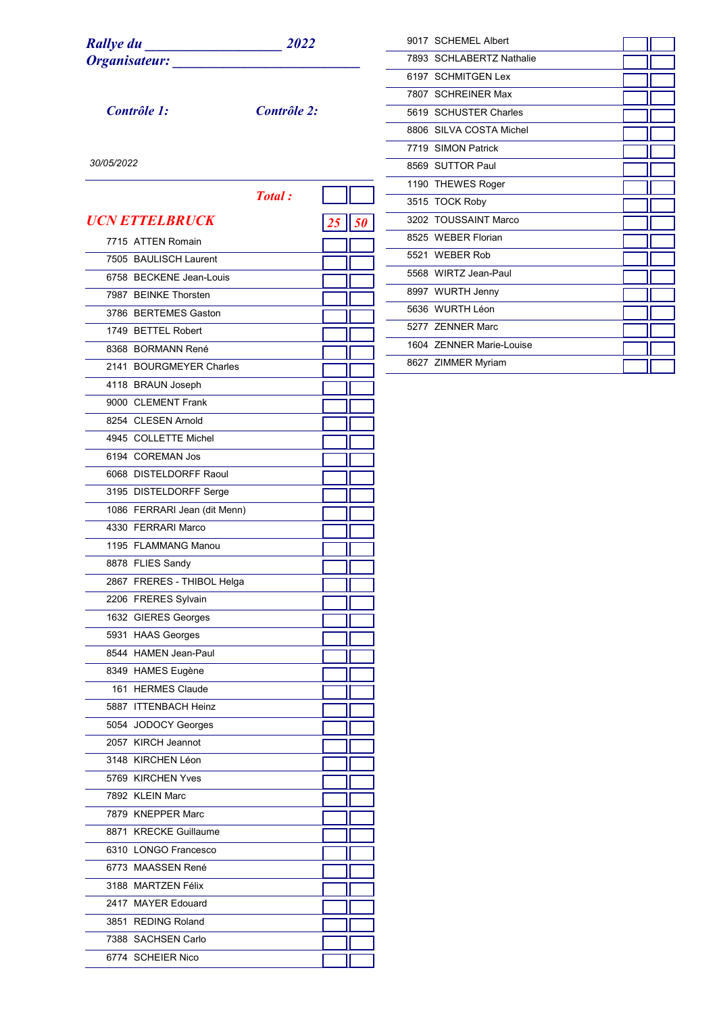| <b>Rallye du</b> | 2022 |
|------------------|------|
| Organisateur:    |      |

*Contrôle 1: Contrôle 2:*

| 9017 SCHEMEL Albert       |  |
|---------------------------|--|
| 7893 SCHI ABERTZ Nathalie |  |
| 6197 SCHMITGEN Lex        |  |
| 7807 SCHREINER Max        |  |
| 5619 SCHUSTER Charles     |  |
| 8806 SILVA COSTA Michel   |  |
| 7719 SIMON Patrick        |  |
| 8569 SUTTOR Paul          |  |
| 1190 THEWES Roger         |  |
| 3515 TOCK Roby            |  |
| 3202 TOUSSAINT Marco      |  |
| 8525 WEBER Florian        |  |
| 5521 WEBER Rob            |  |
| 5568 WIRTZ Jean-Paul      |  |
| 8997 WURTH Jenny          |  |
| 5636 WURTH Léon           |  |
| 5277 ZENNER Marc          |  |
| 1604 ZENNER Marie-Louise  |  |
| 8627 ZIMMER Myriam        |  |
|                           |  |

|                                                    | <b>Total</b> : |    |    |
|----------------------------------------------------|----------------|----|----|
| <b>UCN ETTELBRUCK</b>                              |                |    |    |
| 7715 ATTEN Romain                                  |                | 25 | 50 |
| 7505 BAULISCH Laurent                              |                |    |    |
| 6758 BECKENE Jean-Louis                            |                |    |    |
| 7987 BEINKE Thorsten                               |                |    |    |
| 3786 BERTEMES Gaston                               |                |    |    |
| 1749 BETTEL Robert                                 |                |    |    |
| 8368 BORMANN René                                  |                |    |    |
| 2141 BOURGMEYER Charles                            |                |    |    |
| 4118 BRAUN Joseph                                  |                |    |    |
| 9000 CLEMENT Frank                                 |                |    |    |
| 8254 CLESEN Arnold                                 |                |    |    |
| 4945 COLLETTE Michel                               |                |    |    |
| 6194 COREMAN Jos                                   |                |    |    |
| 6068 DISTELDORFF Raoul                             |                |    |    |
|                                                    |                |    |    |
| 3195 DISTELDORFF Serge                             |                |    |    |
| 1086 FERRARI Jean (dit Menn)<br>4330 FERRARI Marco |                |    |    |
| 1195 FLAMMANG Manou                                |                |    |    |
|                                                    |                |    |    |
| 8878 FLIES Sandy                                   |                |    |    |
| 2867 FRERES - THIBOL Helga                         |                |    |    |
| 2206 FRERES Sylvain                                |                |    |    |
| 1632 GIERES Georges                                |                |    |    |
| 5931 HAAS Georges<br>8544 HAMEN Jean-Paul          |                |    |    |
|                                                    |                |    |    |
| 8349 HAMES Eugène<br>161 HERMES Claude             |                |    |    |
| 5887 ITTENBACH Heinz                               |                |    |    |
|                                                    |                |    |    |
| 5054 JODOCY Georges<br>2057 KIRCH Jeannot          |                |    |    |
| 3148 KIRCHEN Léon                                  |                |    |    |
| 5769 KIRCHEN Yves                                  |                |    |    |
| 7892 KLEIN Marc                                    |                |    |    |
| 7879 KNEPPER Marc                                  |                |    |    |
| 8871 KRECKE Guillaume                              |                |    |    |
| 6310 LONGO Francesco                               |                |    |    |
| 6773 MAASSEN René                                  |                |    |    |
|                                                    |                |    |    |
| 3188 MARTZEN Félix<br>2417 MAYER Edouard           |                |    |    |
| 3851 REDING Roland                                 |                |    |    |
| 7388 SACHSEN Carlo                                 |                |    |    |
|                                                    |                |    |    |
| 6774 SCHEIER Nico                                  |                |    |    |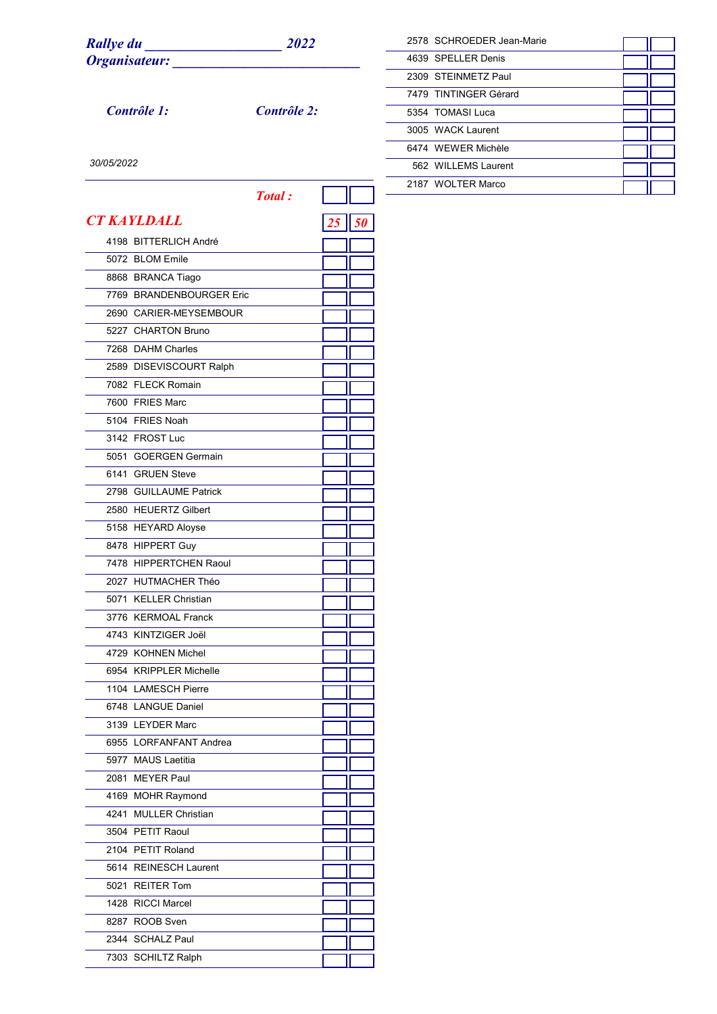*Contrôle 1: Contrôle 2:*

| 2578 SCHROEDER Jean-Marie |  |
|---------------------------|--|
| 4639 SPFLL FR Denis       |  |
| 2309 STEINMETZ Paul       |  |
| 7479 TINTINGER Gérard     |  |
| 5354 TOMASI Luca          |  |
| 3005 WACK Laurent         |  |
| 6474 WFWFR Michèle        |  |
| 562 WILLEMS Laurent       |  |
| 2187 WOLTER Marco         |  |

|                          | <b>Total:</b> |    |    |
|--------------------------|---------------|----|----|
| <b>CT KAYLDALL</b>       |               | 25 | 50 |
| 4198 BITTERLICH André    |               |    |    |
| 5072 BLOM Emile          |               |    |    |
| 8868 BRANCA Tiago        |               |    |    |
| 7769 BRANDENBOURGER Eric |               |    |    |
| 2690 CARIER-MEYSEMBOUR   |               |    |    |
| 5227 CHARTON Bruno       |               |    |    |
| 7268 DAHM Charles        |               |    |    |
| 2589 DISEVISCOURT Ralph  |               |    |    |
| 7082 FLECK Romain        |               |    |    |
| 7600 FRIES Marc          |               |    |    |
| 5104 FRIES Noah          |               |    |    |
| 3142 FROST Luc           |               |    |    |
| 5051 GOERGEN Germain     |               |    |    |
| 6141 GRUEN Steve         |               |    |    |
| 2798 GUILLAUME Patrick   |               |    |    |
| 2580 HEUERTZ Gilbert     |               |    |    |
| 5158 HEYARD Aloyse       |               |    |    |
| 8478 HIPPERT Guy         |               |    |    |
| 7478 HIPPERTCHEN Raoul   |               |    |    |
| 2027 HUTMACHER Théo      |               |    |    |
| 5071 KELLER Christian    |               |    |    |
| 3776 KERMOAL Franck      |               |    |    |
| 4743 KINTZIGER Joël      |               |    |    |
| 4729 KOHNEN Michel       |               |    |    |
| 6954 KRIPPLER Michelle   |               |    |    |
| 1104 LAMESCH Pierre      |               |    |    |
| 6748 LANGUE Daniel       |               |    |    |
| 3139 LEYDER Marc         |               |    |    |
| 6955 LORFANFANT Andrea   |               |    |    |
| 5977 MAUS Laetitia       |               |    |    |
| 2081 MEYER Paul          |               |    |    |
| 4169 MOHR Raymond        |               |    |    |
| 4241 MULLER Christian    |               |    |    |
| 3504 PETIT Raoul         |               |    |    |
| 2104 PETIT Roland        |               |    |    |
| 5614 REINESCH Laurent    |               |    |    |
| 5021 REITER Tom          |               |    |    |
| 1428 RICCI Marcel        |               |    |    |
| 8287 ROOB Sven           |               |    |    |
| 2344 SCHALZ Paul         |               |    |    |
| 7303 SCHILTZ Ralph       |               |    |    |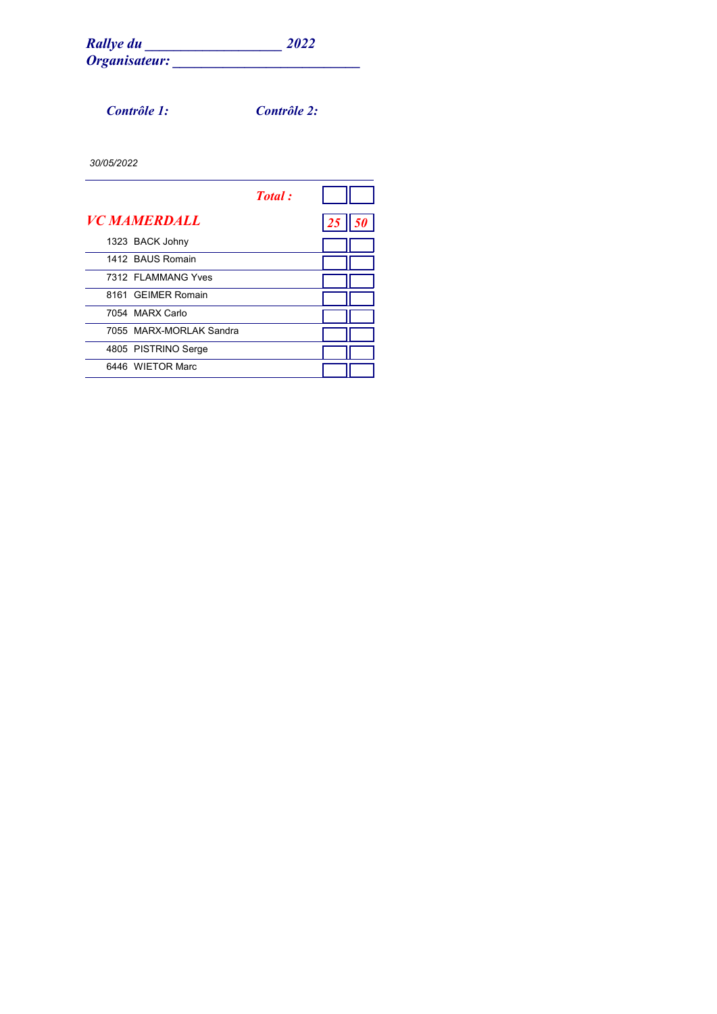*Contrôle 1: Contrôle 2:*

| Total:                     |  |
|----------------------------|--|
| <i><b>VC MAMERDALL</b></i> |  |
| 1323 BACK Johny            |  |
| 1412 BAUS Romain           |  |
| 7312 FI AMMANG Yves        |  |
| 8161 GEIMER Romain         |  |
| 7054 MARX Carlo            |  |
| 7055 MARX-MORI AK Sandra   |  |
| 4805 PISTRINO Serge        |  |
| 6446 WIFTOR Marc           |  |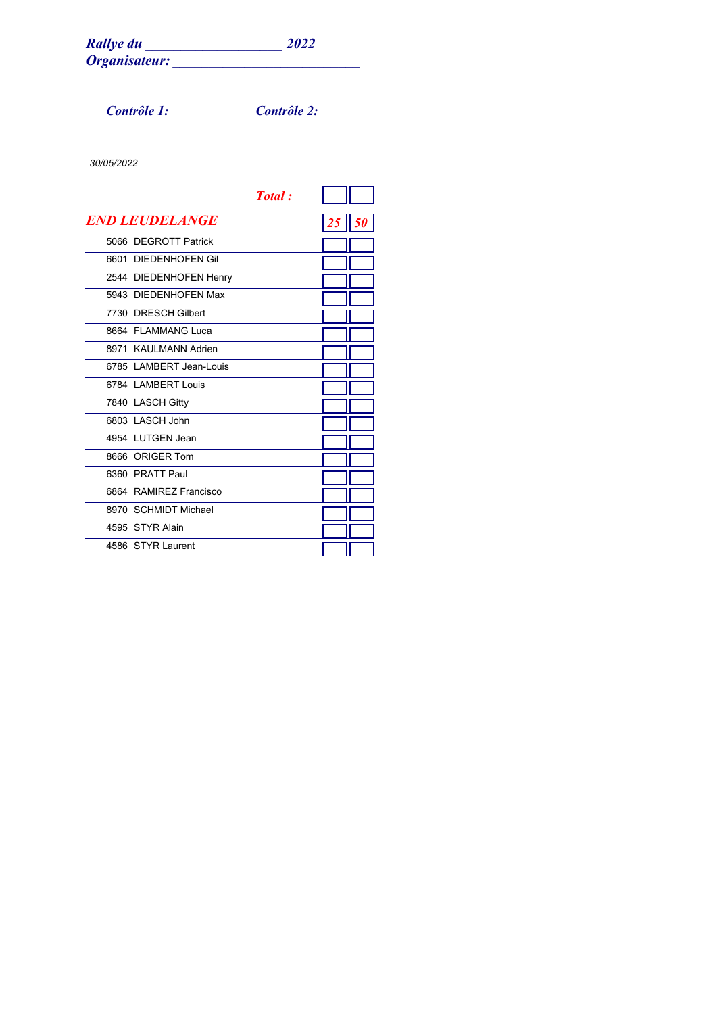*Contrôle 1: Contrôle 2:*

|      |                          | <b>Total</b> : |    |    |
|------|--------------------------|----------------|----|----|
|      | <b>END LEUDELANGE</b>    |                | 25 | 50 |
|      | 5066 DEGROTT Patrick     |                |    |    |
| 6601 | DIFDENHOFFN Gil          |                |    |    |
|      | 2544 DIEDENHOFEN Henry   |                |    |    |
|      | 5943 DIEDENHOFEN Max     |                |    |    |
|      | 7730 DRESCH Gilbert      |                |    |    |
|      | 8664 FI AMMANG Luca      |                |    |    |
|      | 8971 KAULMANN Adrien     |                |    |    |
|      | 6785   AMBERT Jean-Louis |                |    |    |
|      | 6784   AMBERT   ouis     |                |    |    |
|      | 7840 LASCH Gitty         |                |    |    |
|      | 6803   ASCH John         |                |    |    |
|      | 4954 LUTGEN Jean         |                |    |    |
|      | 8666 ORIGER Tom          |                |    |    |
|      | 6360 PRATT Paul          |                |    |    |
|      | 6864 RAMIREZ Francisco   |                |    |    |
|      | 8970 SCHMIDT Michael     |                |    |    |
|      | 4595 STYR Alain          |                |    |    |
|      | 4586 STYR Laurent        |                |    |    |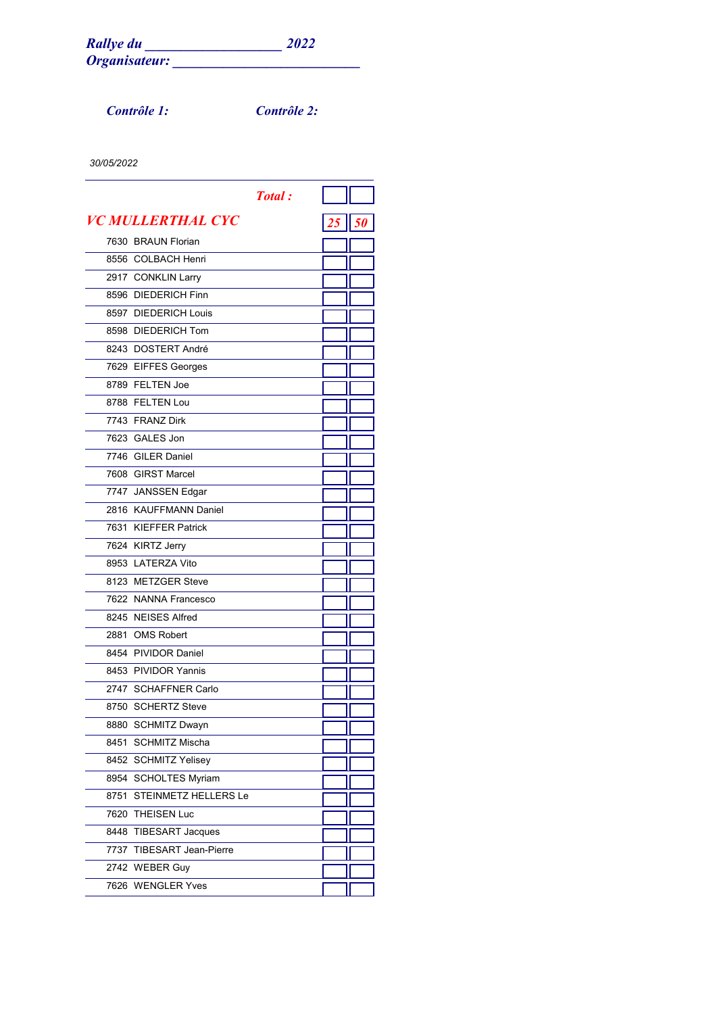*Contrôle 1: Contrôle 2:*

| <b>Total:</b>             |    |
|---------------------------|----|
| <b>VC MULLERTHAL CYC</b>  | 50 |
| 7630 BRAUN Florian        |    |
| 8556 COLBACH Henri        |    |
| 2917 CONKLIN Larry        |    |
| 8596 DIEDERICH Finn       |    |
| 8597 DIEDERICH Louis      |    |
| 8598 DIEDERICH Tom        |    |
| 8243 DOSTERT André        |    |
| 7629 EIFFES Georges       |    |
| 8789 FELTEN Joe           |    |
| 8788 FELTEN Lou           |    |
| 7743 FRANZ Dirk           |    |
| 7623 GALES Jon            |    |
| 7746 GILER Daniel         |    |
| 7608 GIRST Marcel         |    |
| 7747 JANSSEN Edgar        |    |
| 2816 KAUFFMANN Daniel     |    |
| 7631 KIEFFER Patrick      |    |
| 7624 KIRTZ Jerry          |    |
| 8953 LATERZA Vito         |    |
| 8123 METZGER Steve        |    |
| 7622 NANNA Francesco      |    |
| 8245 NEISES Alfred        |    |
| 2881 OMS Robert           |    |
| 8454 PIVIDOR Daniel       |    |
| 8453 PIVIDOR Yannis       |    |
| 2747 SCHAFFNER Carlo      |    |
| 8750 SCHERTZ Steve        |    |
| 8880 SCHMITZ Dwayn        |    |
| 8451 SCHMITZ Mischa       |    |
| 8452 SCHMITZ Yelisey      |    |
| 8954 SCHOLTES Myriam      |    |
| 8751 STEINMETZ HELLERS Le |    |
| 7620 THEISEN Luc          |    |
| 8448 TIBESART Jacques     |    |
| 7737 TIBESART Jean-Pierre |    |
| 2742 WEBER Guy            |    |
| 7626 WENGLER Yves         |    |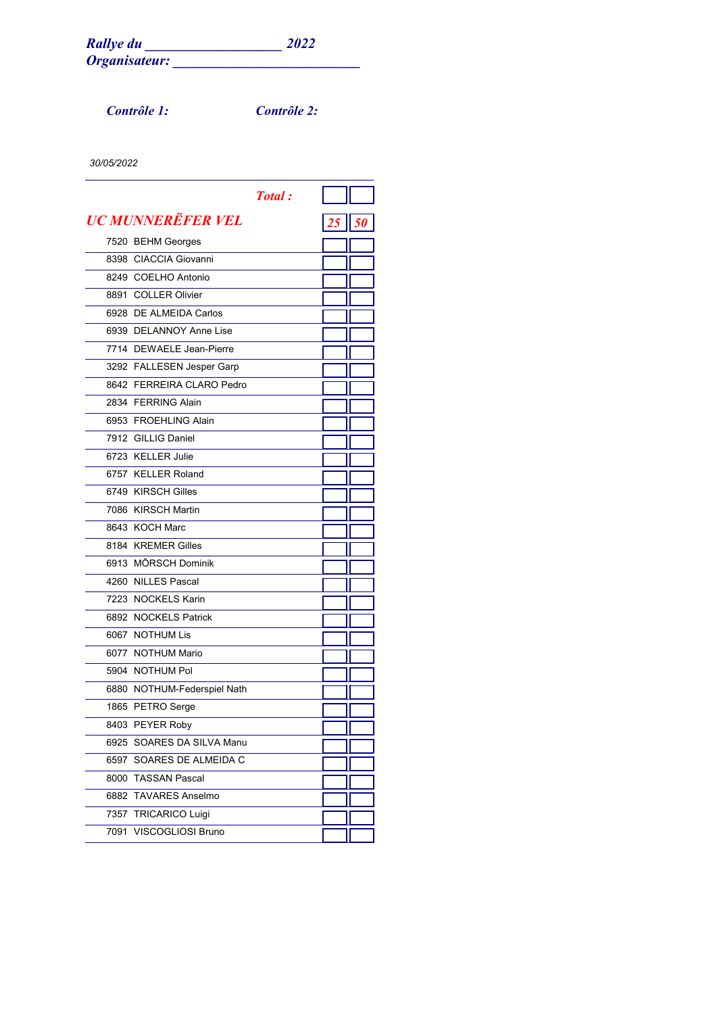*Contrôle 1: Contrôle 2:*

|                             | <b>Total:</b> |              |  |
|-----------------------------|---------------|--------------|--|
| UC MUNNERËFER VEL           |               | $25$    $50$ |  |
| 7520 BEHM Georges           |               |              |  |
| 8398 CIACCIA Giovanni       |               |              |  |
| 8249 COELHO Antonio         |               |              |  |
| 8891 COLLER Olivier         |               |              |  |
| 6928 DE ALMEIDA Carlos      |               |              |  |
| 6939 DELANNOY Anne Lise     |               |              |  |
| 7714 DEWAELE Jean-Pierre    |               |              |  |
| 3292 FALLESEN Jesper Garp   |               |              |  |
| 8642 FERREIRA CLARO Pedro   |               |              |  |
| 2834 FERRING Alain          |               |              |  |
| 6953 FROEHLING Alain        |               |              |  |
| 7912 GILLIG Daniel          |               |              |  |
| 6723 KELLER Julie           |               |              |  |
| 6757 KELLER Roland          |               |              |  |
| 6749 KIRSCH Gilles          |               |              |  |
| 7086 KIRSCH Martin          |               |              |  |
| 8643 KOCH Marc              |               |              |  |
| 8184 KREMER Gilles          |               |              |  |
| 6913 MÖRSCH Dominik         |               |              |  |
| 4260 NILLES Pascal          |               |              |  |
| 7223 NOCKELS Karin          |               |              |  |
| 6892 NOCKELS Patrick        |               |              |  |
| 6067 NOTHUM Lis             |               |              |  |
| 6077 NOTHUM Mario           |               |              |  |
| 5904 NOTHUM Pol             |               |              |  |
| 6880 NOTHUM-Federspiel Nath |               |              |  |
| 1865 PETRO Serge            |               |              |  |
| 8403 PEYER Roby             |               |              |  |
| 6925 SOARES DA SILVA Manu   |               |              |  |
| 6597 SOARES DE ALMEIDA C    |               |              |  |
| 8000 TASSAN Pascal          |               |              |  |
| 6882 TAVARES Anselmo        |               |              |  |
| 7357 TRICARICO Luigi        |               |              |  |
| 7091 VISCOGLIOSI Bruno      |               |              |  |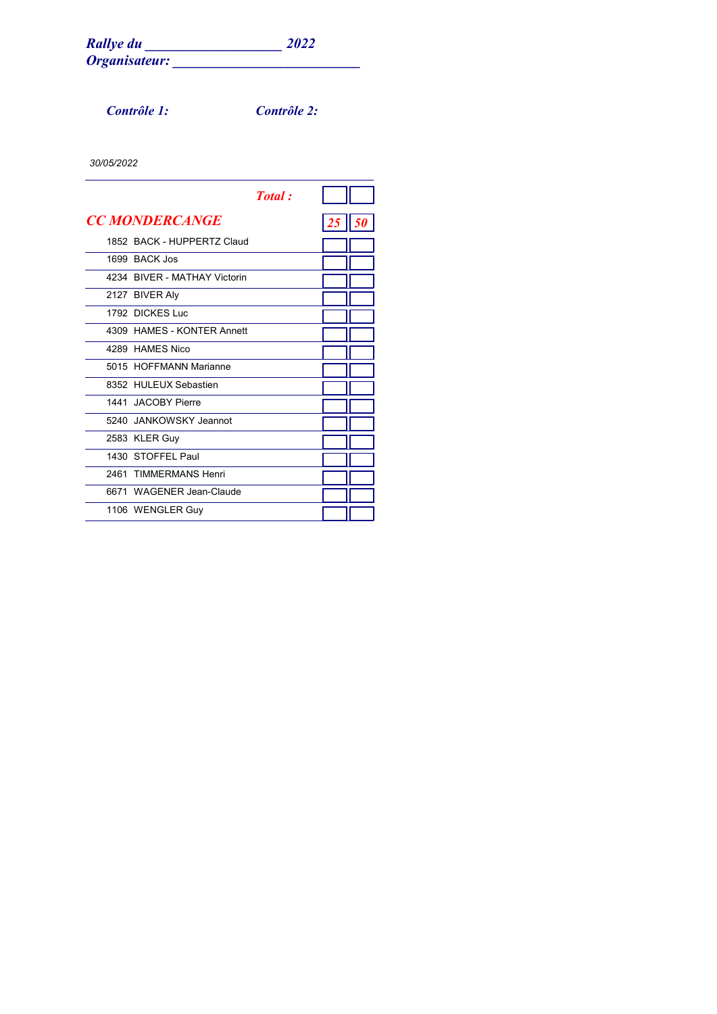*Contrôle 1: Contrôle 2:*

|                              | <b>Total</b> : |    |  |
|------------------------------|----------------|----|--|
| <b>CC MONDERCANGE</b>        |                | 25 |  |
| 1852 BACK - HUPPERTZ Claud   |                |    |  |
| 1699 BACK Jos                |                |    |  |
| 4234 BIVER - MATHAY Victorin |                |    |  |
| 2127 BIVER Aly               |                |    |  |
| 1792 DICKES Luc              |                |    |  |
| 4309 HAMES - KONTER Annett   |                |    |  |
| 4289 HAMES Nico              |                |    |  |
| 5015 HOFFMANN Marianne       |                |    |  |
| 8352 HULEUX Sebastien        |                |    |  |
| 1441 JACOBY Pierre           |                |    |  |
| 5240 JANKOWSKY Jeannot       |                |    |  |
| 2583 KLER Guy                |                |    |  |
| 1430 STOFFFI Paul            |                |    |  |
| 2461 TIMMFRMANS Henri        |                |    |  |
| 6671 WAGENER Jean-Claude     |                |    |  |
| 1106 WENGLER Guy             |                |    |  |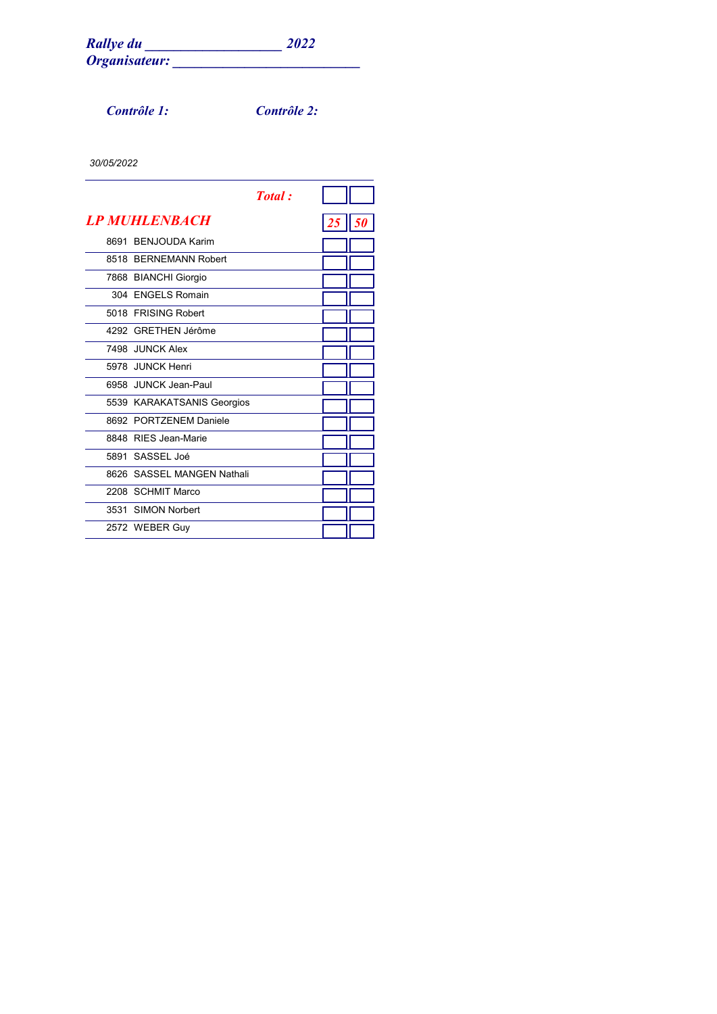*Contrôle 1: Contrôle 2:*

|                            | <b>Total</b> : |    |    |
|----------------------------|----------------|----|----|
| <b>LP MUHLENBACH</b>       |                | 25 | 50 |
| 8691 BENJOUDA Karim        |                |    |    |
| 8518 BERNEMANN Robert      |                |    |    |
| 7868 BIANCHI Giorgio       |                |    |    |
| 304 ENGELS Romain          |                |    |    |
| 5018 FRISING Robert        |                |    |    |
| 4292 GRETHEN Jérôme        |                |    |    |
| 7498 JUNCK Alex            |                |    |    |
| 5978 JUNCK Henri           |                |    |    |
| 6958 JUNCK Jean-Paul       |                |    |    |
| 5539 KARAKATSANIS Georgios |                |    |    |
| 8692 PORTZENEM Daniele     |                |    |    |
| 8848 RIFS Jean-Marie       |                |    |    |
| 5891 SASSEL Joé            |                |    |    |
| 8626 SASSEL MANGEN Nathali |                |    |    |
| 2208 SCHMIT Marco          |                |    |    |
| 3531 SIMON Norbert         |                |    |    |
| 2572 WEBER Guy             |                |    |    |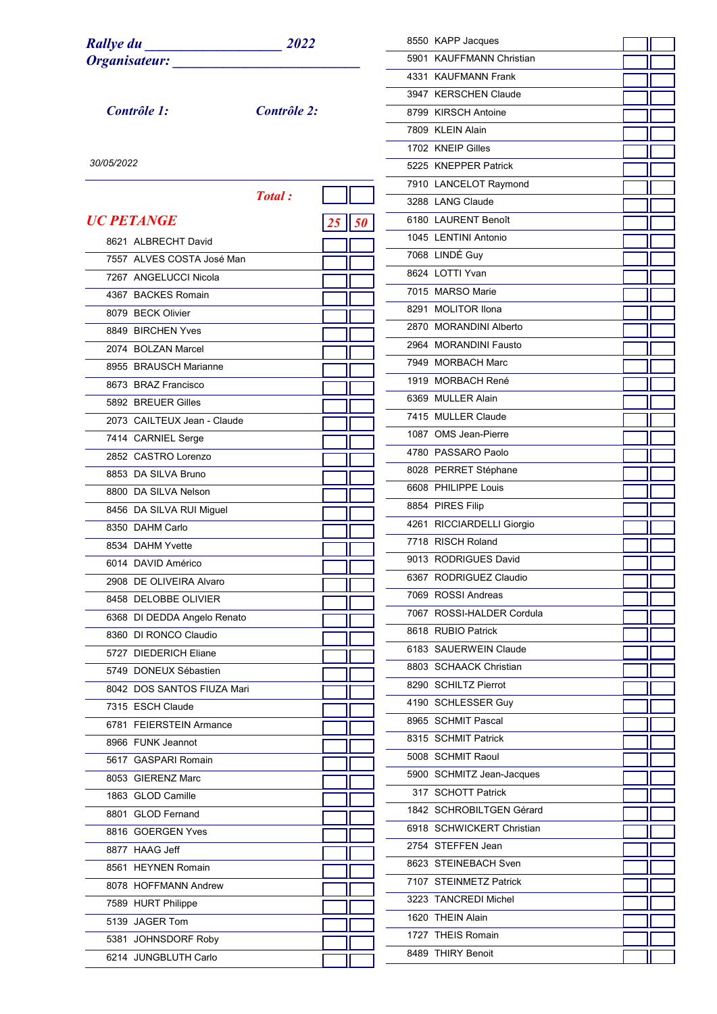*UC PETANGE 25 50*

 ALBRECHT David ALVES COSTA José Man ANGELUCCI Nicola BACKES Romain BECK Olivier BIRCHEN Yves BOLZAN Marcel BRAUSCH Marianne BRAZ Francisco BREUER Gilles

CAILTEUX Jean - Claude

 CARNIEL Serge CASTRO Lorenzo DA SILVA Bruno DA SILVA Nelson DA SILVA RUI Miguel

 DAHM Carlo DAHM Yvette DAVID Américo DE OLIVEIRA Alvaro DELOBBE OLIVIER DI DEDDA Angelo Renato DI RONCO Claudio DIEDERICH Eliane DONEUX Sébastien DOS SANTOS FIUZA Mari

ESCH Claude

 FUNK Jeannot GASPARI Romain GIERENZ Marc GLOD Camille GLOD Fernand GOERGEN Yves HAAG Jeff HEYNEN Romain HOFFMANN Andrew HURT Philippe JAGER Tom JOHNSDORF Roby JUNGBLUTH Carlo

FEIERSTEIN Armance

*Contrôle 1: Contrôle 2:*

*Total :*

|  | 8550 KAPP Jacques<br>5901 KAUFFMANN Christian<br>4331 KAUFMANN Frank<br>3947 KERSCHEN Claude<br>8799 KIRSCH Antoine<br>7809 KLEIN Alain<br>1702 KNEIP Gilles<br>5225 KNEPPER Patrick<br>7910 LANCELOT Raymond<br>3288 LANG Claude<br>6180 LAURENT Benoît<br>1045 LENTINI Antonio<br>7068 LINDÉ Guy<br>8624 LOTTI Yvan<br>7015 MARSO Marie<br>8291 MOLITOR Ilona<br>2870 MORANDINI Alberto<br>2964 MORANDINI Fausto<br>7949 MORBACH Marc<br>1919 MORBACH René<br>6369 MULLER Alain<br>7415 MULLER Claude<br>1087 OMS Jean-Pierre<br>4780 PASSARO Paolo<br>8028 PERRET Stéphane<br>6608 PHILIPPE Louis<br>8854 PIRES Filip<br>4261 RICCIARDELLI Giorgio<br>7718 RISCH Roland<br>9013 RODRIGUES David<br>6367 RODRIGUEZ Claudio<br>7069 ROSSI Andreas<br>7067 ROSSI-HALDER Cordula<br>8618 RUBIO Patrick<br>6183 SAUERWEIN Claude<br>8803 SCHAACK Christian<br>8290 SCHILTZ Pierrot<br>4190 SCHLESSER Guy<br>8965 SCHMIT Pascal<br>8315 SCHMIT Patrick<br>5008 SCHMIT Raoul<br>5900 SCHMITZ Jean-Jacques<br>317 SCHOTT Patrick<br>1842 SCHROBILTGEN Gérard<br>6918 SCHWICKERT Christian<br>2754 STEFFEN Jean<br>8623 STEINEBACH Sven<br>7107 STEINMETZ Patrick<br>3223 TANCREDI Michel<br>1620 THEIN Alain |  |
|--|---------------------------------------------------------------------------------------------------------------------------------------------------------------------------------------------------------------------------------------------------------------------------------------------------------------------------------------------------------------------------------------------------------------------------------------------------------------------------------------------------------------------------------------------------------------------------------------------------------------------------------------------------------------------------------------------------------------------------------------------------------------------------------------------------------------------------------------------------------------------------------------------------------------------------------------------------------------------------------------------------------------------------------------------------------------------------------------------------------------------------------------------------------------------------------------------------------|--|

 THEIS Romain THIRY Benoit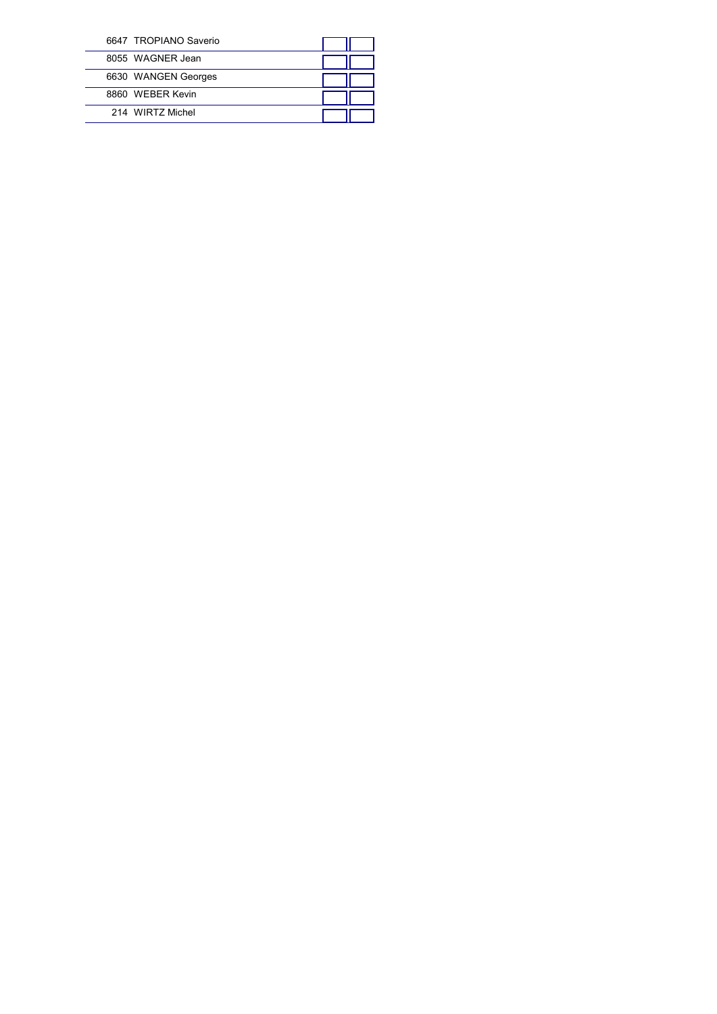| 6647 TROPIANO Saverio |  |
|-----------------------|--|
| 8055 WAGNER Jean      |  |
| 6630 WANGEN Georges   |  |
| 8860 WFBFR Kevin      |  |
| 214 WIRTZ Michel      |  |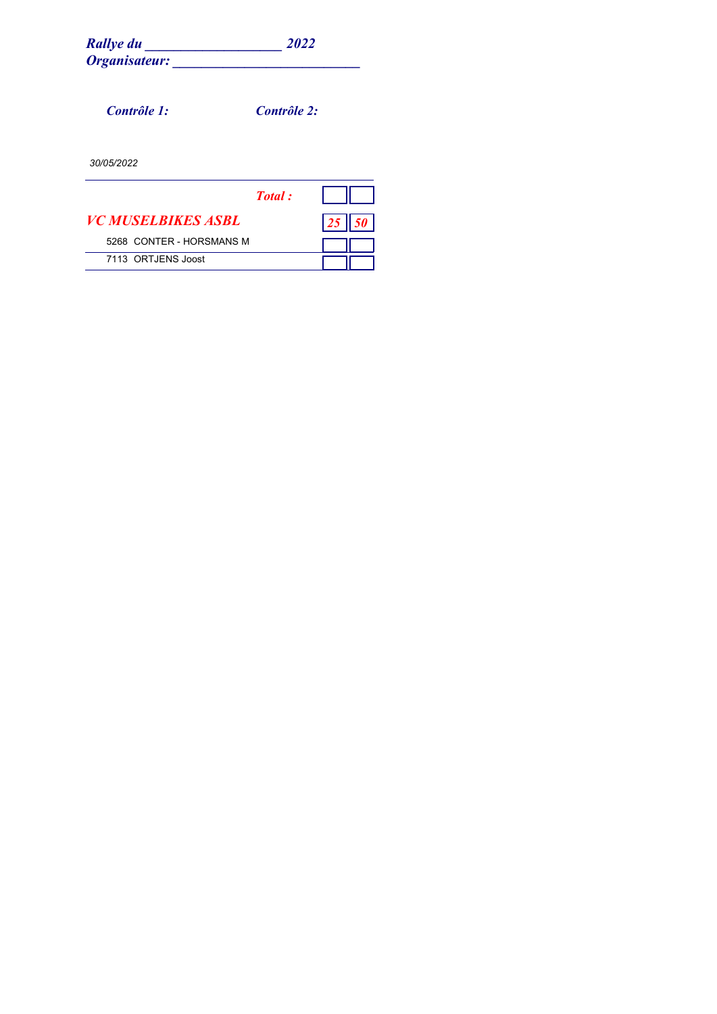| <b>Rallye du</b> | 2022 |
|------------------|------|
| Organisateur:    |      |

*Contrôle 1: Contrôle 2:*

|                                  | <b>Total</b> : |    |  |
|----------------------------------|----------------|----|--|
| <i><b>VC MUSELBIKES ASBL</b></i> |                | 25 |  |
| 5268 CONTER - HORSMANS M         |                |    |  |
| 7113 ORTJENS Joost               |                |    |  |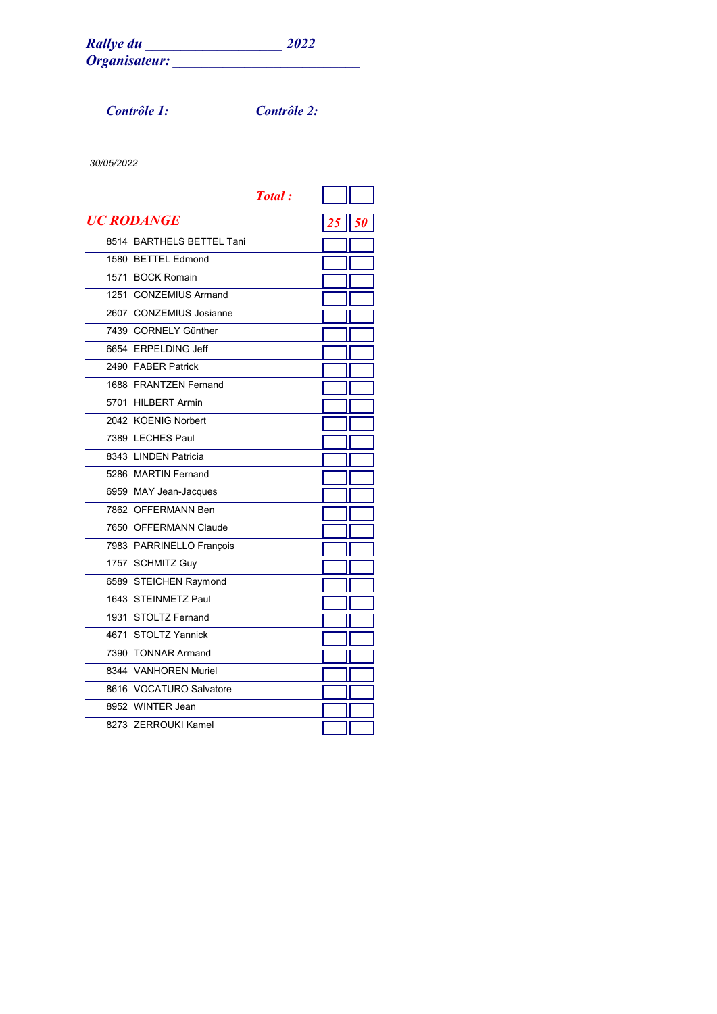*Contrôle 1: Contrôle 2:*

|                           | <b>Total:</b> |          |  |
|---------------------------|---------------|----------|--|
| UC RODANGE                |               | 25    50 |  |
| 8514 BARTHELS BETTEL Tani |               |          |  |
| 1580 BETTEL Edmond        |               |          |  |
| 1571 BOCK Romain          |               |          |  |
| 1251 CONZEMIUS Armand     |               |          |  |
| 2607 CONZEMIUS Josianne   |               |          |  |
| 7439 CORNELY Günther      |               |          |  |
| 6654 ERPELDING Jeff       |               |          |  |
| 2490 FABER Patrick        |               |          |  |
| 1688 FRANTZEN Fernand     |               |          |  |
| 5701 HILBERT Armin        |               |          |  |
| 2042 KOENIG Norbert       |               |          |  |
| 7389 LECHES Paul          |               |          |  |
| 8343 LINDEN Patricia      |               |          |  |
| 5286 MARTIN Fernand       |               |          |  |
| 6959 MAY Jean-Jacques     |               |          |  |
| 7862 OFFERMANN Ben        |               |          |  |
| 7650 OFFERMANN Claude     |               |          |  |
| 7983 PARRINELLO François  |               |          |  |
| 1757 SCHMITZ Guy          |               |          |  |
| 6589 STEICHEN Raymond     |               |          |  |
| 1643 STEINMETZ Paul       |               |          |  |
| 1931 STOLTZ Fernand       |               |          |  |
| 4671 STOLTZ Yannick       |               |          |  |
| 7390 TONNAR Armand        |               |          |  |
| 8344 VANHOREN Muriel      |               |          |  |
| 8616 VOCATURO Salvatore   |               |          |  |
| 8952 WINTER Jean          |               |          |  |
| 8273 ZERROUKI Kamel       |               |          |  |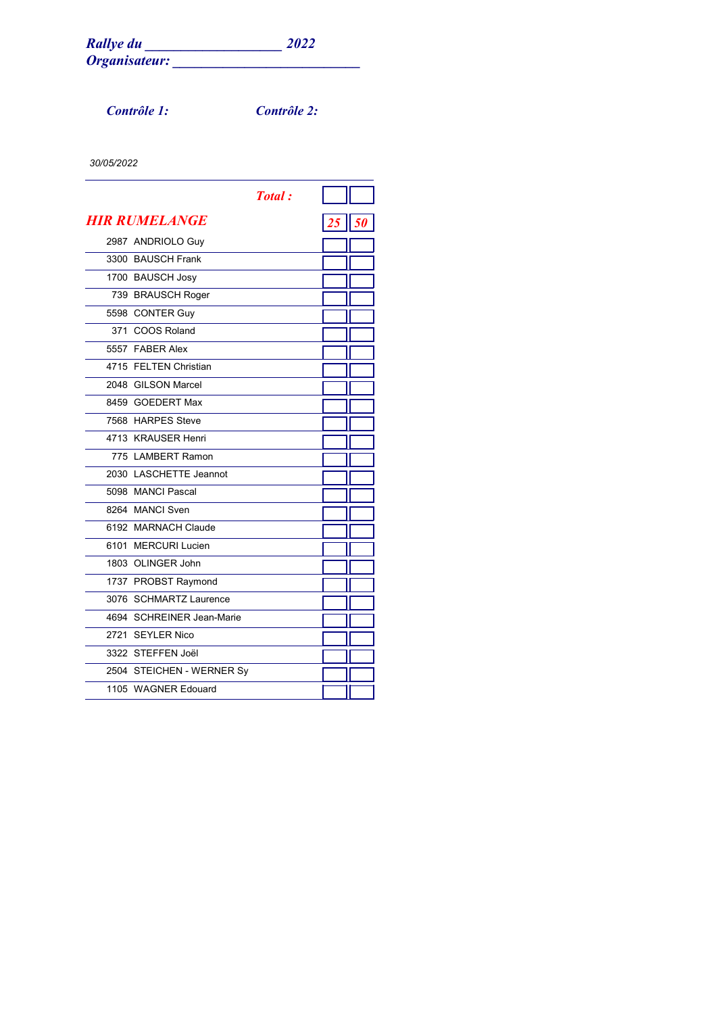*Contrôle 1: Contrôle 2:*

|                           | <b>Total:</b> |                   |  |
|---------------------------|---------------|-------------------|--|
| <b>HIR RUMELANGE</b>      |               | $25 \parallel 50$ |  |
| 2987 ANDRIOLO Guy         |               |                   |  |
| 3300 BAUSCH Frank         |               |                   |  |
| 1700 BAUSCH Josy          |               |                   |  |
| 739 BRAUSCH Roger         |               |                   |  |
| 5598 CONTER Guy           |               |                   |  |
| 371 COOS Roland           |               |                   |  |
| 5557 FABER Alex           |               |                   |  |
| 4715 FELTEN Christian     |               |                   |  |
| 2048 GILSON Marcel        |               |                   |  |
| 8459 GOEDERT Max          |               |                   |  |
| 7568 HARPES Steve         |               |                   |  |
| 4713 KRAUSER Henri        |               |                   |  |
| 775 LAMBERT Ramon         |               |                   |  |
| 2030 LASCHETTE Jeannot    |               |                   |  |
| 5098 MANCI Pascal         |               |                   |  |
| 8264 MANCI Sven           |               |                   |  |
| 6192 MARNACH Claude       |               |                   |  |
| 6101 MERCURI Lucien       |               |                   |  |
| 1803 OLINGER John         |               |                   |  |
| 1737 PROBST Raymond       |               |                   |  |
| 3076 SCHMARTZ Laurence    |               |                   |  |
| 4694 SCHREINER Jean-Marie |               |                   |  |
| 2721 SEYLER Nico          |               |                   |  |
| 3322 STEFFEN Joël         |               |                   |  |
| 2504 STEICHEN - WERNER Sy |               |                   |  |
| 1105 WAGNER Edouard       |               |                   |  |
|                           |               |                   |  |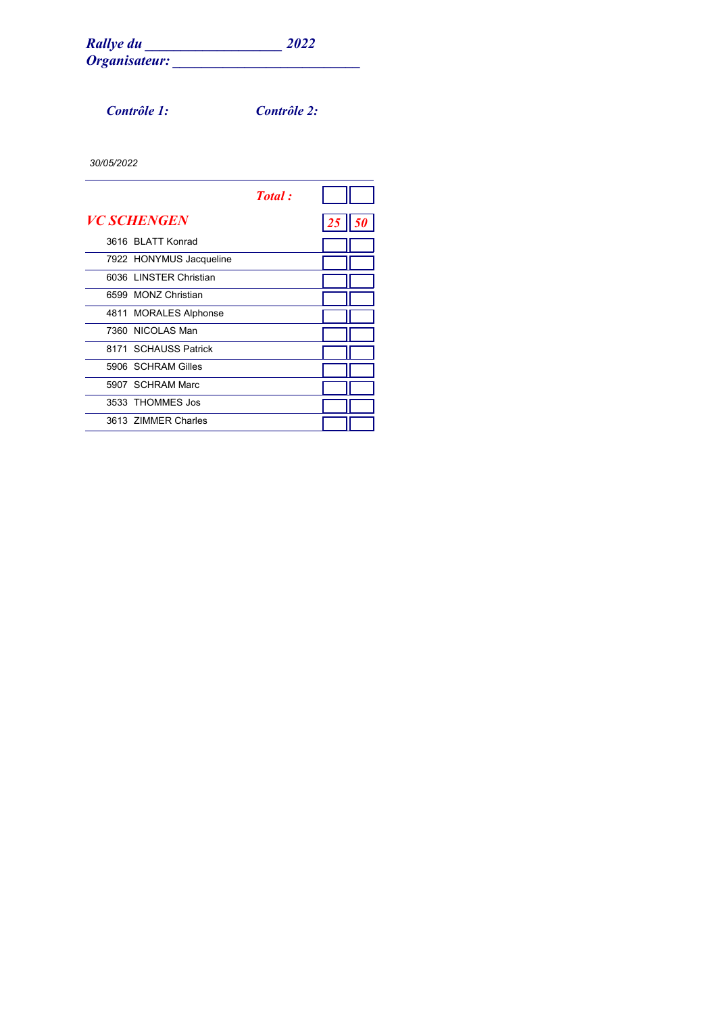*Contrôle 1: Contrôle 2:*

|                         | <b>Total</b> : |    |  |
|-------------------------|----------------|----|--|
| <b>VC SCHENGEN</b>      |                | 25 |  |
| 3616 BLATT Konrad       |                |    |  |
| 7922 HONYMUS Jacqueline |                |    |  |
| 6036 LINSTER Christian  |                |    |  |
| 6599 MONZ Christian     |                |    |  |
| 4811 MORALES Alphonse   |                |    |  |
| 7360 NICOLAS Man        |                |    |  |
| 8171 SCHAUSS Patrick    |                |    |  |
| 5906 SCHRAM Gilles      |                |    |  |
| 5907 SCHRAM Marc        |                |    |  |
| 3533 THOMMES Jos        |                |    |  |
| 3613 ZIMMER Charles     |                |    |  |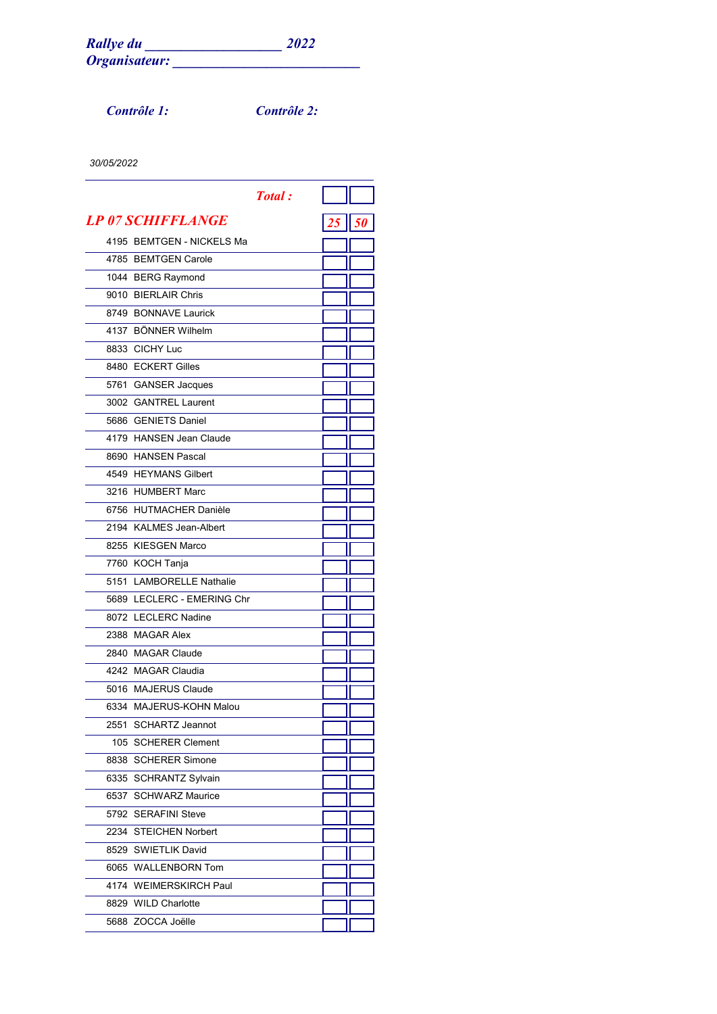*Contrôle 1: Contrôle 2:*

|                                 | <b>Total</b> : |              |  |
|---------------------------------|----------------|--------------|--|
| <i><b>LP 07 SCHIFFLANGE</b></i> |                | $25$    $50$ |  |
| 4195 BEMTGEN - NICKELS Ma       |                |              |  |
| 4785 BEMTGEN Carole             |                |              |  |
| 1044 BERG Raymond               |                |              |  |
| 9010 BIERLAIR Chris             |                |              |  |
| 8749 BONNAVE Laurick            |                |              |  |
| 4137 BÖNNER Wilhelm             |                |              |  |
| 8833 CICHY Luc                  |                |              |  |
| 8480 ECKERT Gilles              |                |              |  |
| 5761 GANSER Jacques             |                |              |  |
| 3002 GANTREL Laurent            |                |              |  |
| 5686 GENIETS Daniel             |                |              |  |
| 4179 HANSEN Jean Claude         |                |              |  |
| 8690 HANSEN Pascal              |                |              |  |
| 4549 HEYMANS Gilbert            |                |              |  |
| 3216 HUMBERT Marc               |                |              |  |
| 6756 HUTMACHER Danièle          |                |              |  |
| 2194 KALMES Jean-Albert         |                |              |  |
| 8255 KIESGEN Marco              |                |              |  |
| 7760 KOCH Tanja                 |                |              |  |
| 5151 LAMBORELLE Nathalie        |                |              |  |
| 5689 LECLERC - EMERING Chr      |                |              |  |
| 8072 LECLERC Nadine             |                |              |  |
| 2388 MAGAR Alex                 |                |              |  |
| 2840 MAGAR Claude               |                |              |  |
| 4242 MAGAR Claudia              |                |              |  |
| 5016 MAJERUS Claude             |                |              |  |
| 6334 MAJERUS-KOHN Malou         |                |              |  |
| 2551 SCHARTZ Jeannot            |                |              |  |
| 105 SCHERER Clement             |                |              |  |
| 8838 SCHERER Simone             |                |              |  |
| 6335 SCHRANTZ Sylvain           |                |              |  |
| 6537 SCHWARZ Maurice            |                |              |  |
| 5792 SERAFINI Steve             |                |              |  |
| 2234 STEICHEN Norbert           |                |              |  |
| 8529 SWIETLIK David             |                |              |  |
| 6065 WALLENBORN Tom             |                |              |  |
| 4174 WEIMERSKIRCH Paul          |                |              |  |
| 8829 WILD Charlotte             |                |              |  |
| 5688 ZOCCA Joëlle               |                |              |  |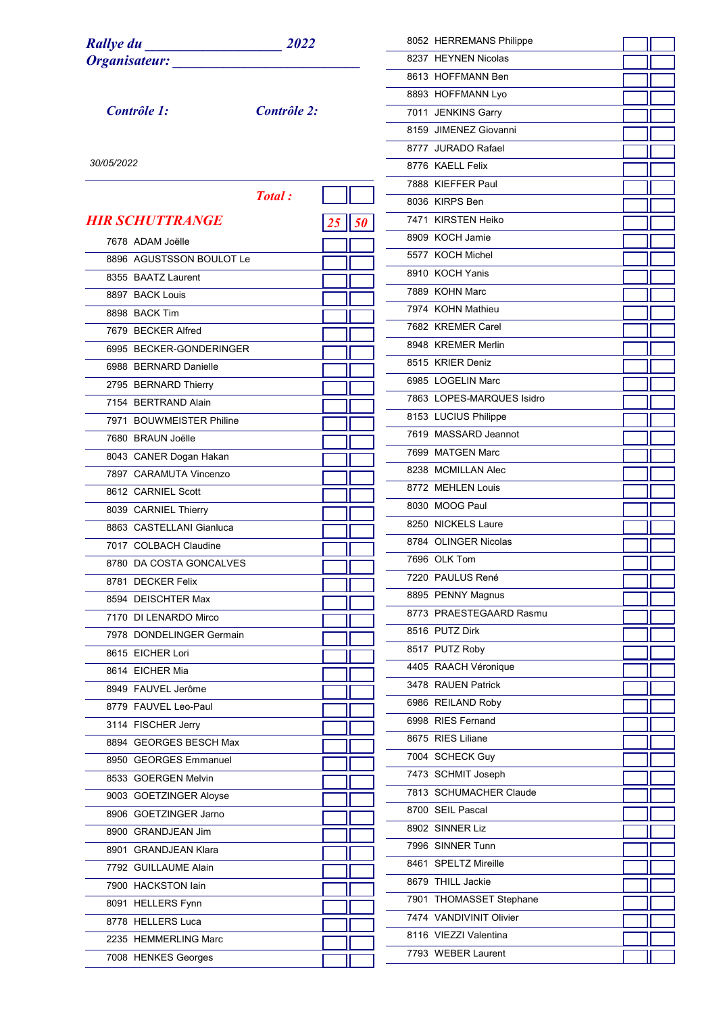| <b>Rallye du</b><br>2022 |             |                 | 8052 HERREMANS Philippe   |  |
|--------------------------|-------------|-----------------|---------------------------|--|
| Organisateur:            |             |                 | 8237 HEYNEN Nicolas       |  |
|                          |             |                 | 8613 HOFFMANN Ben         |  |
|                          |             |                 | 8893 HOFFMANN Lyo         |  |
| Contrôle 1:              | Contrôle 2: |                 | 7011 JENKINS Garry        |  |
|                          |             |                 | 8159 JIMENEZ Giovanni     |  |
|                          |             |                 | 8777 JURADO Rafael        |  |
| 30/05/2022               |             |                 | 8776 KAELL Felix          |  |
|                          |             |                 | 7888 KIEFFER Paul         |  |
|                          | Total:      |                 | 8036 KIRPS Ben            |  |
| <b>HIR SCHUTTRANGE</b>   |             | $\overline{50}$ | 7471 KIRSTEN Heiko        |  |
|                          |             |                 | 8909 KOCH Jamie           |  |
| 7678 ADAM Joëlle         |             |                 | 5577 KOCH Michel          |  |
| 8896 AGUSTSSON BOULOT Le |             |                 | 8910 KOCH Yanis           |  |
| 8355 BAATZ Laurent       |             |                 | 7889 KOHN Marc            |  |
| 8897 BACK Louis          |             |                 | 7974 KOHN Mathieu         |  |
| 8898 BACK Tim            |             |                 | 7682 KREMER Carel         |  |
| 7679 BECKER Alfred       |             |                 | 8948 KREMER Merlin        |  |
| 6995 BECKER-GONDERINGER  |             |                 | 8515 KRIER Deniz          |  |
| 6988 BERNARD Danielle    |             |                 |                           |  |
| 2795 BERNARD Thierry     |             |                 | 6985 LOGELIN Marc         |  |
| 7154 BERTRAND Alain      |             |                 | 7863 LOPES-MARQUES Isidro |  |
| 7971 BOUWMEISTER Philine |             |                 | 8153 LUCIUS Philippe      |  |
| 7680 BRAUN Joëlle        |             |                 | 7619 MASSARD Jeannot      |  |
| 8043 CANER Dogan Hakan   |             |                 | 7699 MATGEN Marc          |  |
| 7897 CARAMUTA Vincenzo   |             |                 | 8238 MCMILLAN Alec        |  |
| 8612 CARNIEL Scott       |             |                 | 8772 MEHLEN Louis         |  |
| 8039 CARNIEL Thierry     |             |                 | 8030 MOOG Paul            |  |
| 8863 CASTELLANI Gianluca |             |                 | 8250 NICKELS Laure        |  |
| 7017 COLBACH Claudine    |             |                 | 8784 OLINGER Nicolas      |  |
| 8780 DA COSTA GONCALVES  |             |                 | 7696 OLK Tom              |  |
| 8781 DECKER Felix        |             |                 | 7220 PAULUS René          |  |
| 8594 DEISCHTER Max       |             |                 | 8895 PENNY Magnus         |  |
| 7170 DI LENARDO Mirco    |             |                 | 8773 PRAESTEGAARD Rasmu   |  |
| 7978 DONDELINGER Germain |             |                 | 8516 PUTZ Dirk            |  |
| 8615 EICHER Lori         |             |                 | 8517 PUTZ Roby            |  |
| 8614 EICHER Mia          |             |                 | 4405 RAACH Véronique      |  |
| 8949 FAUVEL Jerôme       |             |                 | 3478 RAUEN Patrick        |  |
| 8779 FAUVEL Leo-Paul     |             |                 | 6986 REILAND Roby         |  |
| 3114 FISCHER Jerry       |             |                 | 6998 RIES Fernand         |  |
| 8894 GEORGES BESCH Max   |             |                 | 8675 RIES Liliane         |  |
| 8950 GEORGES Emmanuel    |             |                 | 7004 SCHECK Guy           |  |
| 8533 GOERGEN Melvin      |             |                 | 7473 SCHMIT Joseph        |  |
| 9003 GOETZINGER Aloyse   |             |                 | 7813 SCHUMACHER Claude    |  |
| 8906 GOETZINGER Jarno    |             |                 | 8700 SEIL Pascal          |  |
| 8900 GRANDJEAN Jim       |             |                 | 8902 SINNER Liz           |  |
| 8901 GRANDJEAN Klara     |             |                 | 7996 SINNER Tunn          |  |
| 7792 GUILLAUME Alain     |             |                 | 8461 SPELTZ Mireille      |  |
| 7900 HACKSTON lain       |             |                 | 8679 THILL Jackie         |  |
|                          |             |                 | 7901 THOMASSET Stephane   |  |
| 8091 HELLERS Fynn        |             |                 | 7474 VANDIVINIT Olivier   |  |
| 8778 HELLERS Luca        |             |                 | 8116 VIEZZI Valentina     |  |
| 2235 HEMMERLING Marc     |             |                 | 7793 WEBER Laurent        |  |
| 7008 HENKES Georges      |             |                 |                           |  |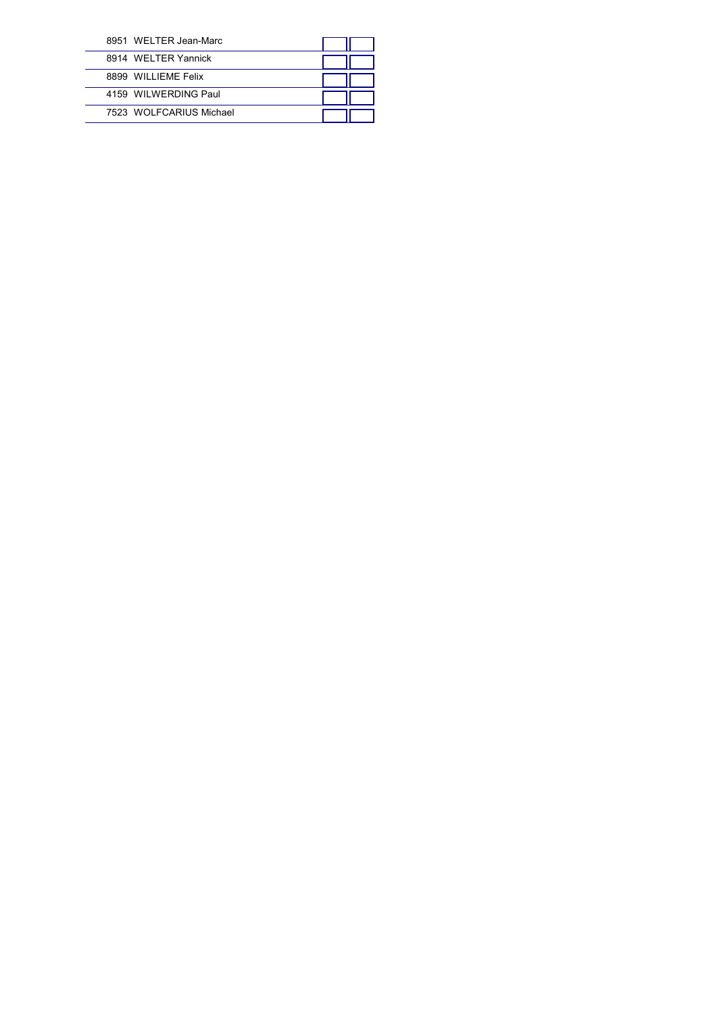| 8951 WELTER Jean-Marc   |  |
|-------------------------|--|
| 8914 WFI TFR Yannick    |  |
| 8899 WILLIEME Felix     |  |
| 4159 WILWERDING Paul    |  |
| 7523 WOLFCARIUS Michael |  |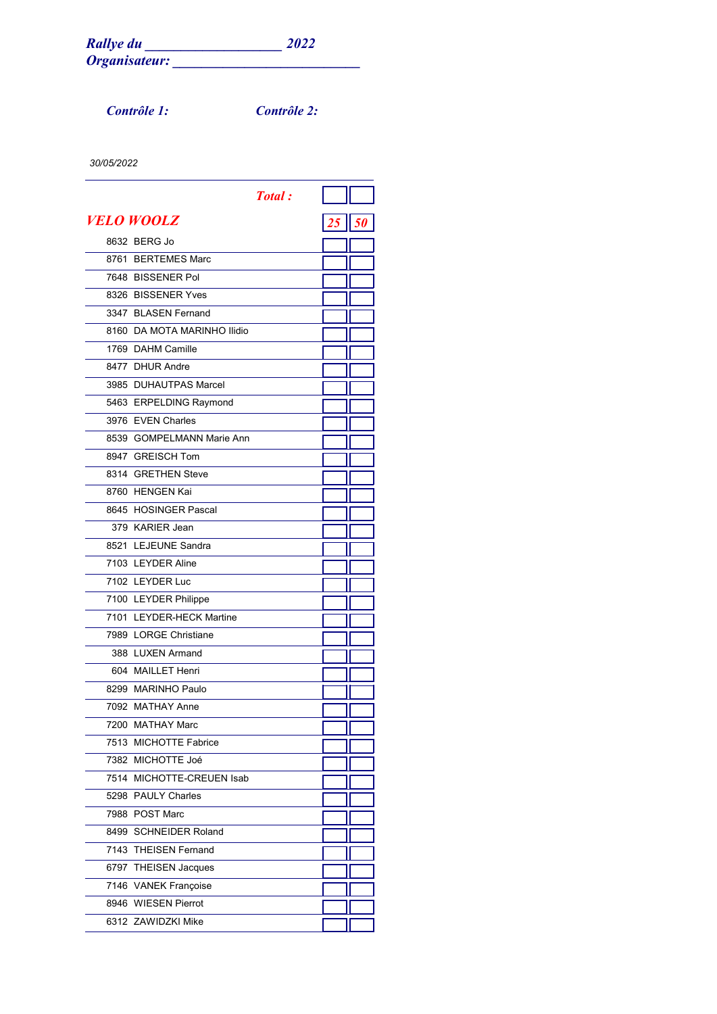*Contrôle 1: Contrôle 2:*

|                             | <b>Total</b> : |         |
|-----------------------------|----------------|---------|
| VELO WOOLZ                  |                | $25$ 50 |
| 8632 BERG Jo                |                |         |
| 8761 BERTEMES Marc          |                |         |
| 7648 BISSENER Pol           |                |         |
| 8326 BISSENER Yves          |                |         |
| 3347 BLASEN Fernand         |                |         |
| 8160 DA MOTA MARINHO Ilidio |                |         |
| 1769 DAHM Camille           |                |         |
| 8477 DHUR Andre             |                |         |
| 3985 DUHAUTPAS Marcel       |                |         |
| 5463 ERPELDING Raymond      |                |         |
| 3976 EVEN Charles           |                |         |
| 8539 GOMPELMANN Marie Ann   |                |         |
| 8947 GREISCH Tom            |                |         |
| 8314 GRETHEN Steve          |                |         |
| 8760 HENGEN Kai             |                |         |
| 8645 HOSINGER Pascal        |                |         |
| 379 KARIER Jean             |                |         |
| 8521 LEJEUNE Sandra         |                |         |
| 7103 LEYDER Aline           |                |         |
| 7102 LEYDER Luc             |                |         |
| 7100 LEYDER Philippe        |                |         |
| 7101 LEYDER-HECK Martine    |                |         |
| 7989 LORGE Christiane       |                |         |
| 388 LUXEN Armand            |                |         |
| 604 MAILLET Henri           |                |         |
| 8299 MARINHO Paulo          |                |         |
| 7092 MATHAY Anne            |                |         |
| 7200 MATHAY Marc            |                |         |
| 7513 MICHOTTE Fabrice       |                |         |
| 7382 MICHOTTE Joé           |                |         |
| 7514 MICHOTTE-CREUEN Isab   |                |         |
| 5298 PAULY Charles          |                |         |
| 7988 POST Marc              |                |         |
| 8499 SCHNEIDER Roland       |                |         |
| 7143 THEISEN Fernand        |                |         |
| 6797 THEISEN Jacques        |                |         |
| 7146 VANEK Françoise        |                |         |
| 8946 WIESEN Pierrot         |                |         |
| 6312 ZAWIDZKI Mike          |                |         |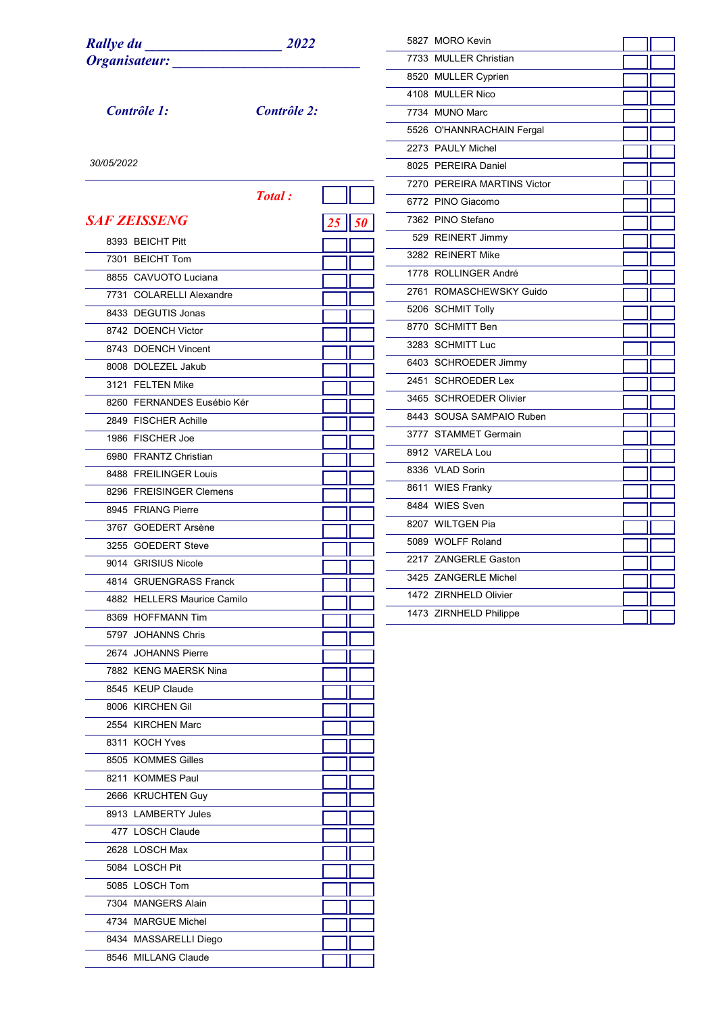| <b>Rallye du</b>            |             |    | 5827 MORO Kevin             |  |
|-----------------------------|-------------|----|-----------------------------|--|
| Organisateur:               |             |    | 7733 MULLER Christian       |  |
|                             |             |    | 8520 MULLER Cyprien         |  |
|                             |             |    | 4108 MULLER Nico            |  |
| Contrôle 1:                 | Contrôle 2: |    | 7734 MUNO Marc              |  |
|                             |             |    | 5526 O'HANNRACHAIN Fergal   |  |
|                             |             |    | 2273 PAULY Michel           |  |
| 30/05/2022                  |             |    | 8025 PEREIRA Daniel         |  |
|                             |             |    | 7270 PEREIRA MARTINS Victor |  |
|                             | Total:      |    | 6772 PINO Giacomo           |  |
| <b>SAF ZEISSENG</b>         |             |    | 7362 PINO Stefano           |  |
|                             |             |    | 529 REINERT Jimmy           |  |
| 8393 BEICHT Pitt            |             |    | 3282 REINERT Mike           |  |
| 7301 BEICHT Tom             |             |    | 1778 ROLLINGER André        |  |
| 8855 CAVUOTO Luciana        |             |    | 2761 ROMASCHEWSKY Guido     |  |
| 7731 COLARELLI Alexandre    |             |    | 5206 SCHMIT Tolly           |  |
| 8433 DEGUTIS Jonas          |             |    |                             |  |
| 8742 DOENCH Victor          |             |    | 8770 SCHMITT Ben            |  |
| 8743 DOENCH Vincent         |             |    | 3283 SCHMITT Luc            |  |
| 8008 DOLEZEL Jakub          |             |    | 6403 SCHROEDER Jimmy        |  |
| 3121 FELTEN Mike            |             |    | 2451 SCHROEDER Lex          |  |
| 8260 FERNANDES Eusébio Kér  |             |    | 3465 SCHROEDER Olivier      |  |
| 2849 FISCHER Achille        |             |    | 8443 SOUSA SAMPAIO Ruben    |  |
| 1986 FISCHER Joe            |             |    | 3777 STAMMET Germain        |  |
| 6980 FRANTZ Christian       |             |    | 8912 VARELA Lou             |  |
| 8488 FREILINGER Louis       |             |    | 8336 VLAD Sorin             |  |
| 8296 FREISINGER Clemens     |             |    | 8611 WIES Franky            |  |
| 8945 FRIANG Pierre          |             |    | 8484 WIES Sven              |  |
| 3767 GOEDERT Arsène         |             |    | 8207 WILTGEN Pia            |  |
| 3255 GOEDERT Steve          |             |    | 5089 WOLFF Roland           |  |
| 9014 GRISIUS Nicole         |             | ٦r | 2217 ZANGERLE Gaston        |  |
| 4814 GRUENGRASS Franck      |             |    | 3425 ZANGERLE Michel        |  |
| 4882 HELLERS Maurice Camilo |             |    | 1472 ZIRNHELD Olivier       |  |
| 8369 HOFFMANN Tim           |             |    | 1473 ZIRNHELD Philippe      |  |
| 5797 JOHANNS Chris          |             |    |                             |  |
| 2674 JOHANNS Pierre         |             |    |                             |  |
| 7882 KENG MAERSK Nina       |             |    |                             |  |
| 8545 KEUP Claude            |             |    |                             |  |
| 8006 KIRCHEN Gil            |             |    |                             |  |
| 2554 KIRCHEN Marc           |             |    |                             |  |
| 8311 KOCH Yves              |             |    |                             |  |
| 8505 KOMMES Gilles          |             |    |                             |  |
| 8211 KOMMES Paul            |             |    |                             |  |
| 2666 KRUCHTEN Guy           |             |    |                             |  |
| 8913 LAMBERTY Jules         |             |    |                             |  |
| 477 LOSCH Claude            |             |    |                             |  |
| 2628 LOSCH Max              |             |    |                             |  |
| 5084 LOSCH Pit              |             |    |                             |  |
| 5085 LOSCH Tom              |             |    |                             |  |
| 7304 MANGERS Alain          |             |    |                             |  |
|                             |             |    |                             |  |
| 4734 MARGUE Michel          |             |    |                             |  |
| 8434 MASSARELLI Diego       |             |    |                             |  |
| 8546 MILLANG Claude         |             |    |                             |  |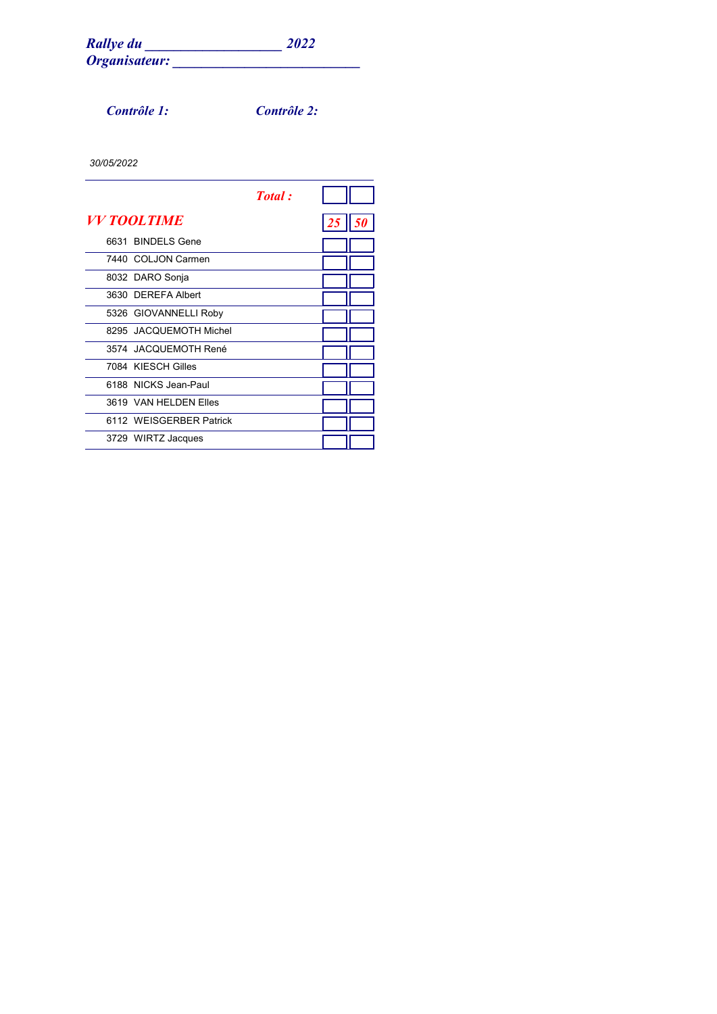*Contrôle 1: Contrôle 2:*

|                    |                         | <b>Total</b> : |                   |  |
|--------------------|-------------------------|----------------|-------------------|--|
| <i>VV TOOLTIME</i> |                         |                | $25 \parallel 50$ |  |
|                    | 6631 BINDELS Gene       |                |                   |  |
|                    | 7440 COLJON Carmen      |                |                   |  |
|                    | 8032 DARO Sonja         |                |                   |  |
|                    | 3630 DEREFA Albert      |                |                   |  |
|                    | 5326 GIOVANNELLI Roby   |                |                   |  |
|                    | 8295 JACQUEMOTH Michel  |                |                   |  |
|                    | 3574 JACQUEMOTH René    |                |                   |  |
|                    | 7084 KIESCH Gilles      |                |                   |  |
|                    | 6188 NICKS Jean-Paul    |                |                   |  |
|                    | 3619 VAN HEI DEN Files  |                |                   |  |
|                    | 6112 WEISGERBER Patrick |                |                   |  |
|                    | 3729 WIRTZ Jacques      |                |                   |  |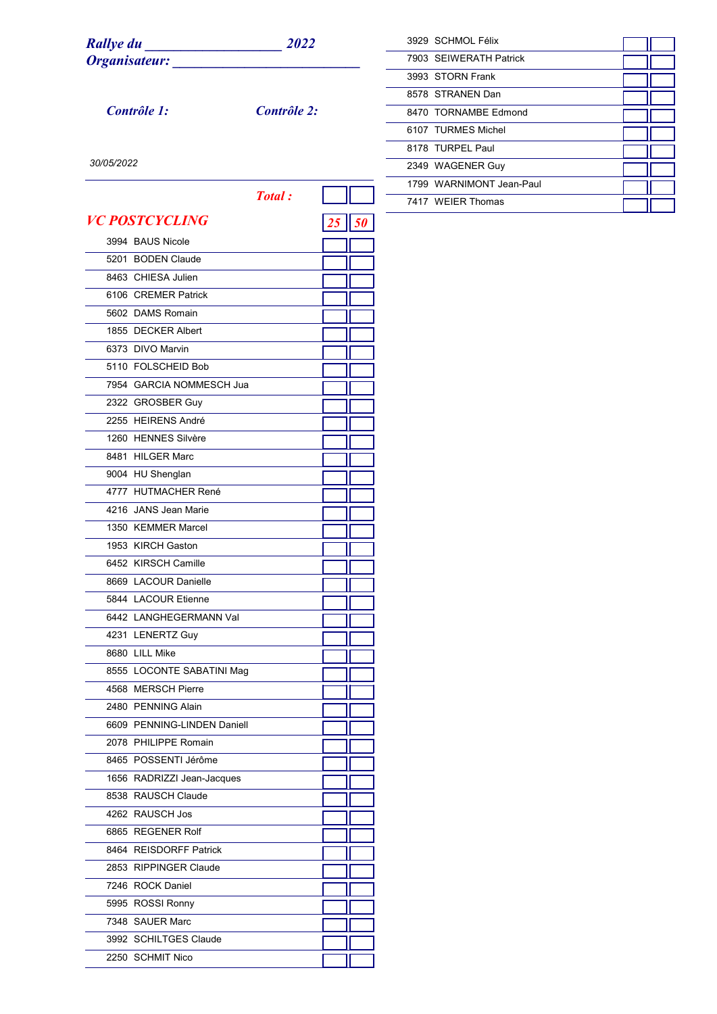| <b>Rallye du</b> | 2022 |
|------------------|------|
| Organisateur:    |      |

*Contrôle 1: Contrôle 2:*

| 3929 SCHMOL Félix        |  |
|--------------------------|--|
| 7903 SFIWFRATH Patrick   |  |
| 3993 STORN Frank         |  |
| 8578 STRANEN Dan         |  |
| 8470 TORNAMBE Fdmond     |  |
| 6107 TURMES Michel       |  |
| 8178 TURPFI Paul         |  |
| 2349 WAGENER Guy         |  |
| 1799 WARNIMONT Jean-Paul |  |
| 7417 WEIFR Thomas        |  |

| <b>Total:</b>                |    |
|------------------------------|----|
| <i><b>VC POSTCYCLING</b></i> | 50 |
| 3994 BAUS Nicole             |    |
| 5201 BODEN Claude            |    |
| 8463 CHIESA Julien           |    |
| 6106 CREMER Patrick          |    |
| 5602 DAMS Romain             |    |
| 1855 DECKER Albert           |    |
| 6373 DIVO Marvin             |    |
| 5110 FOLSCHEID Bob           |    |
| 7954 GARCIA NOMMESCH Jua     |    |
| 2322 GROSBER Guy             |    |
| 2255 HEIRENS André           |    |
| 1260 HENNES Silvère          |    |
| 8481 HILGER Marc             |    |
| 9004 HU Shenglan             |    |
| 4777 HUTMACHER René          |    |
| 4216 JANS Jean Marie         |    |
| 1350 KEMMER Marcel           |    |
| 1953 KIRCH Gaston            |    |
| 6452 KIRSCH Camille          |    |
| 8669 LACOUR Danielle         |    |
| 5844 LACOUR Etienne          |    |
| 6442 LANGHEGERMANN Val       |    |
| 4231 LENERTZ Guy             |    |
| 8680 LILL Mike               |    |
| 8555 LOCONTE SABATINI Mag    |    |
| 4568 MERSCH Pierre           |    |
| 2480 PENNING Alain           |    |
| 6609 PENNING-LINDEN Daniell  |    |
| 2078 PHILIPPE Romain         |    |
| 8465 POSSENTI Jérôme         |    |
| 1656 RADRIZZI Jean-Jacques   |    |
| 8538 RAUSCH Claude           |    |
| 4262 RAUSCH Jos              |    |
| 6865 REGENER Rolf            |    |
| 8464 REISDORFF Patrick       |    |
| 2853 RIPPINGER Claude        |    |
| 7246 ROCK Daniel             |    |
| 5995 ROSSI Ronny             |    |
| 7348 SAUER Marc              |    |
| 3992 SCHILTGES Claude        |    |
| 2250 SCHMIT Nico             |    |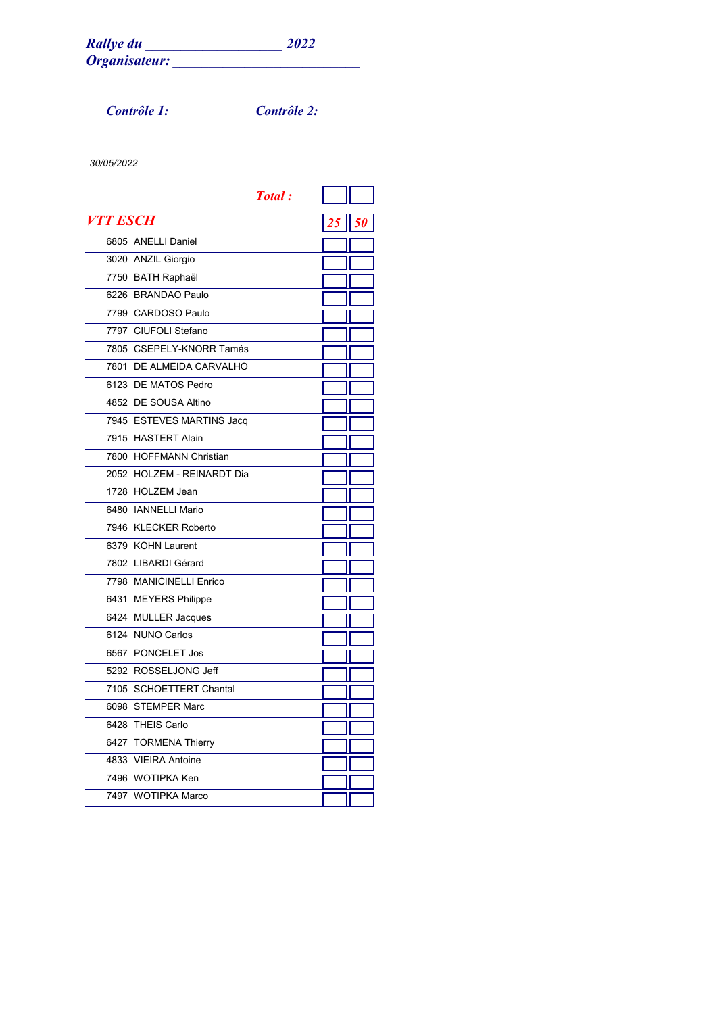*Contrôle 1: Contrôle 2:*

|                 |                            | <b>Total</b> : |                |
|-----------------|----------------------------|----------------|----------------|
| <i>VTT ESCH</i> |                            |                | $\parallel$ 50 |
|                 | 6805 ANELLI Daniel         |                |                |
|                 | 3020 ANZIL Giorgio         |                |                |
|                 | 7750 BATH Raphaël          |                |                |
|                 | 6226 BRANDAO Paulo         |                |                |
|                 | 7799 CARDOSO Paulo         |                |                |
|                 | 7797 CIUFOLI Stefano       |                |                |
|                 | 7805 CSEPELY-KNORR Tamás   |                |                |
|                 | 7801 DE ALMEIDA CARVALHO   |                |                |
|                 | 6123 DE MATOS Pedro        |                |                |
|                 | 4852 DE SOUSA Altino       |                |                |
|                 | 7945 ESTEVES MARTINS Jacq  |                |                |
|                 | 7915 HASTERT Alain         |                |                |
|                 | 7800 HOFFMANN Christian    |                |                |
|                 | 2052 HOLZEM - REINARDT Dia |                |                |
|                 | 1728 HOLZEM Jean           |                |                |
|                 | 6480 IANNELLI Mario        |                |                |
|                 | 7946 KLECKER Roberto       |                |                |
|                 | 6379 KOHN Laurent          |                |                |
|                 | 7802 LIBARDI Gérard        |                |                |
|                 | 7798 MANICINELLI Enrico    |                |                |
|                 | 6431 MEYERS Philippe       |                |                |
|                 | 6424 MULLER Jacques        |                |                |
|                 | 6124 NUNO Carlos           |                |                |
|                 | 6567 PONCELET Jos          |                |                |
|                 | 5292 ROSSELJONG Jeff       |                |                |
|                 | 7105 SCHOETTERT Chantal    |                |                |
|                 | 6098 STEMPER Marc          |                |                |
|                 | 6428 THEIS Carlo           |                |                |
|                 | 6427 TORMENA Thierry       |                |                |
|                 | 4833 VIEIRA Antoine        |                |                |
|                 | 7496 WOTIPKA Ken           |                |                |
|                 | 7497 WOTIPKA Marco         |                |                |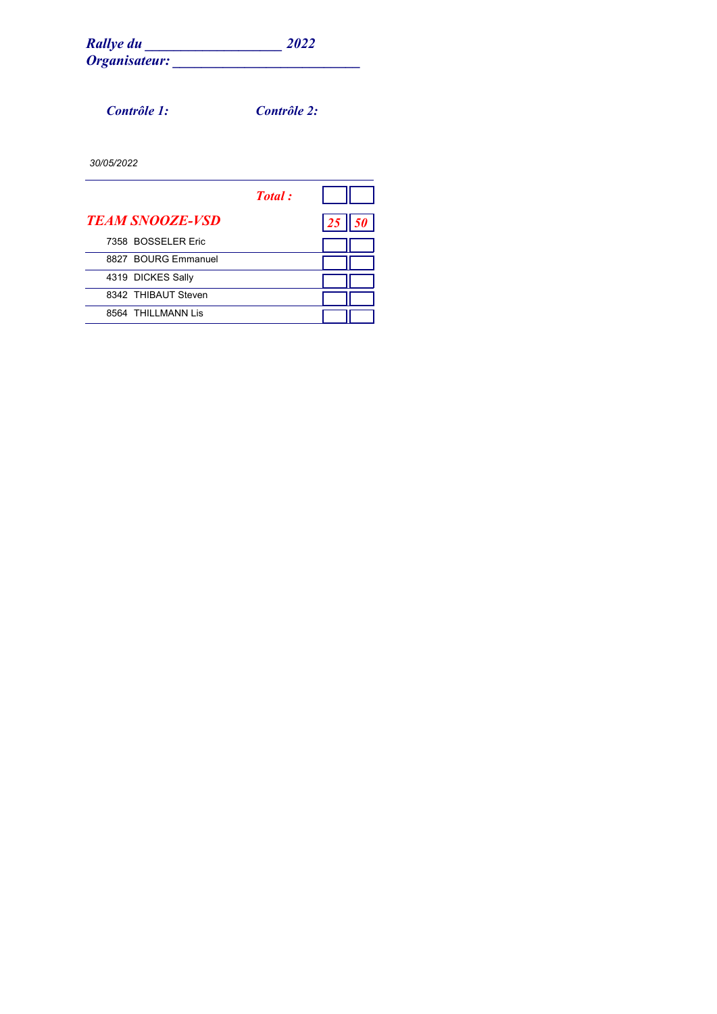*Contrôle 1: Contrôle 2:*

|                        | Total: |    |
|------------------------|--------|----|
| <b>TEAM SNOOZE-VSD</b> |        | 25 |
| 7358 BOSSELER Eric     |        |    |
| 8827 BOURG Emmanuel    |        |    |
| 4319 DICKES Sally      |        |    |
| 8342 THIBAUT Steven    |        |    |
| 8564 THILLMANN Lis     |        |    |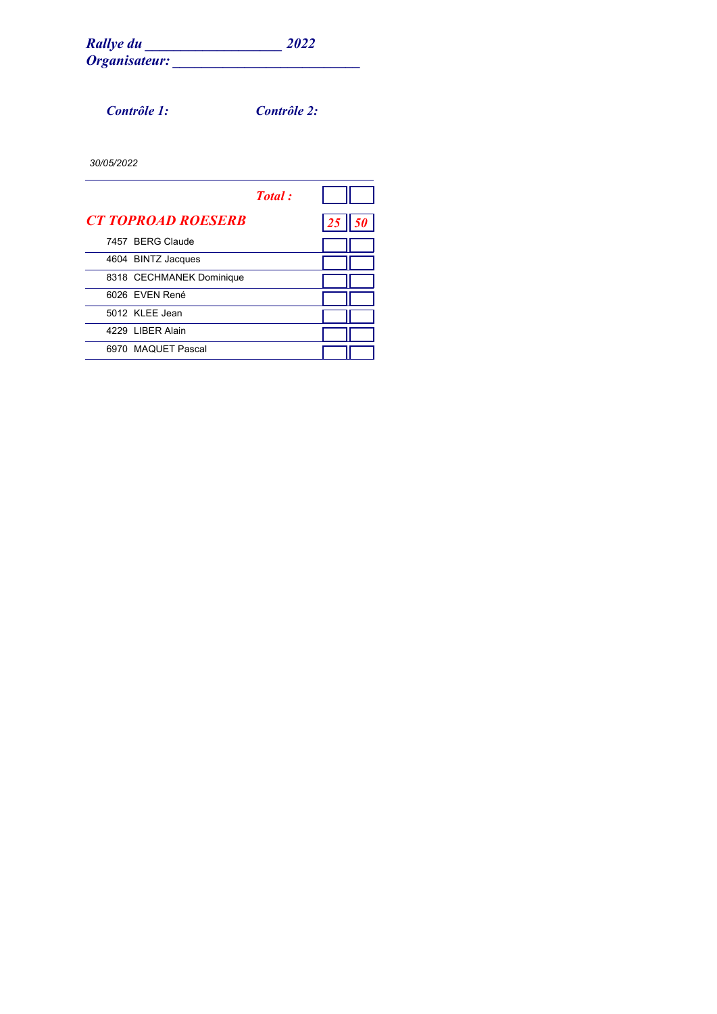*Contrôle 1: Contrôle 2:*

|                           | Total: |  |
|---------------------------|--------|--|
| <b>CT TOPROAD ROESERB</b> |        |  |
| 7457 BERG Claude          |        |  |
| 4604 BINTZ Jacques        |        |  |
| 8318 CECHMANEK Dominique  |        |  |
| 6026 EVEN René            |        |  |
| 5012 KLEE Jean            |        |  |
| 4229 LIBER Alain          |        |  |
| 6970 MAQUET Pascal        |        |  |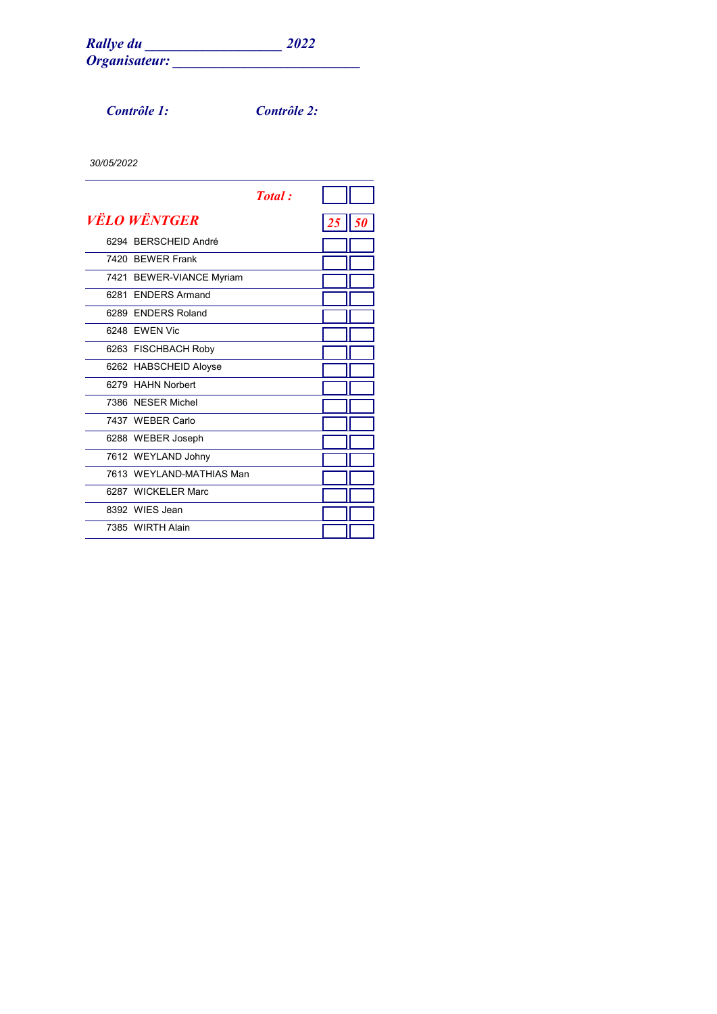*Contrôle 1: Contrôle 2:*

|      |                            | <b>Total</b> : |    |       |
|------|----------------------------|----------------|----|-------|
|      | <i><b>VËLO WËNTGER</b></i> |                | 25 | II 50 |
|      | 6294 BERSCHEID André       |                |    |       |
|      | 7420 BEWER Frank           |                |    |       |
|      | 7421 BEWER-VIANCE Myriam   |                |    |       |
| 6281 | <b>FNDERS Armand</b>       |                |    |       |
|      | 6289 FNDERS Roland         |                |    |       |
|      | 6248 FWFN Vic              |                |    |       |
|      | 6263 FISCHBACH Roby        |                |    |       |
|      | 6262 HABSCHEID Aloyse      |                |    |       |
|      | 6279 HAHN Norbert          |                |    |       |
|      | 7386 NESER Michel          |                |    |       |
|      | 7437 WEBER Carlo           |                |    |       |
|      | 6288 WEBER Joseph          |                |    |       |
|      | 7612 WEYLAND Johny         |                |    |       |
|      | 7613 WEYLAND-MATHIAS Man   |                |    |       |
|      | 6287 WICKELER Marc         |                |    |       |
|      | 8392 WIFS Jean             |                |    |       |
|      | 7385 WIRTH Alain           |                |    |       |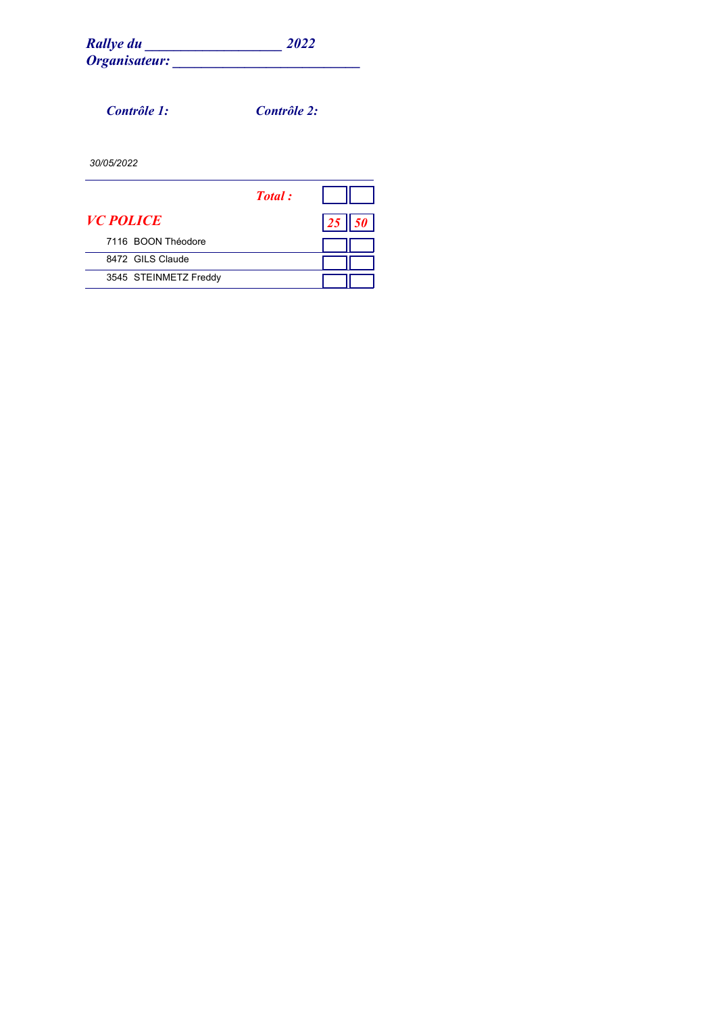*Contrôle 1: Contrôle 2:*

|                       | <b>Total</b> : |  |
|-----------------------|----------------|--|
| <i>VC POLICE</i>      |                |  |
| 7116 BOON Théodore    |                |  |
| 8472 GILS Claude      |                |  |
| 3545 STEINMETZ Freddy |                |  |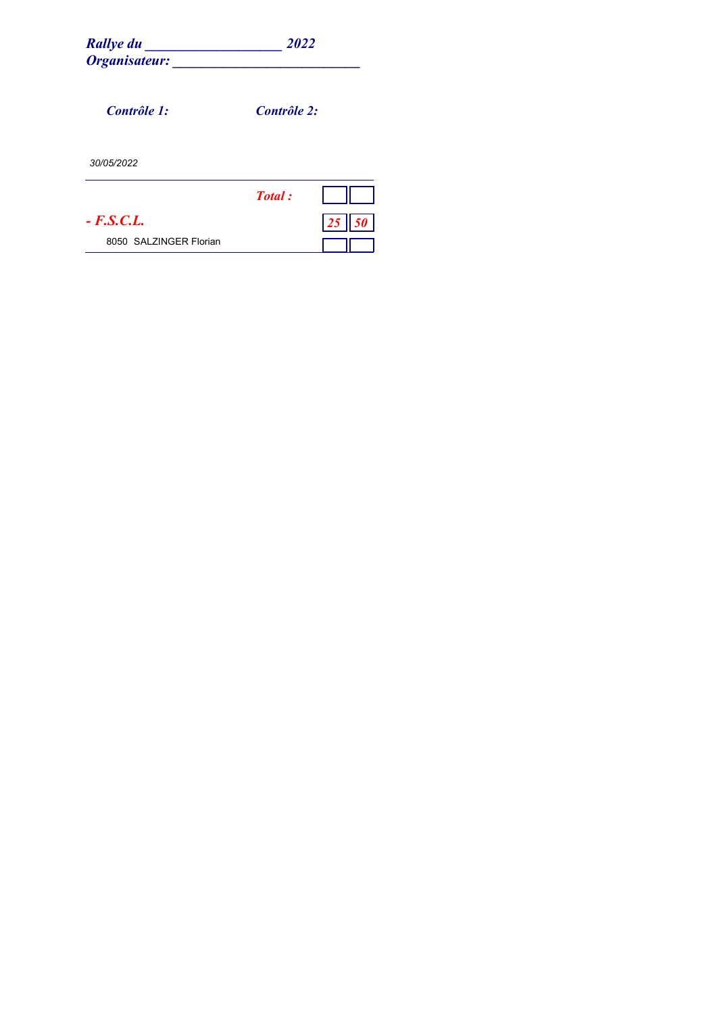| <b>Rallye du</b><br>Organisateur: | 2022        |    |
|-----------------------------------|-------------|----|
| Contrôle 1:                       | Contrôle 2: |    |
| 30/05/2022                        |             |    |
|                                   | Total:      |    |
| $- F.S.C.L.$                      |             | 25 |
| 8050 SALZINGER Florian            |             |    |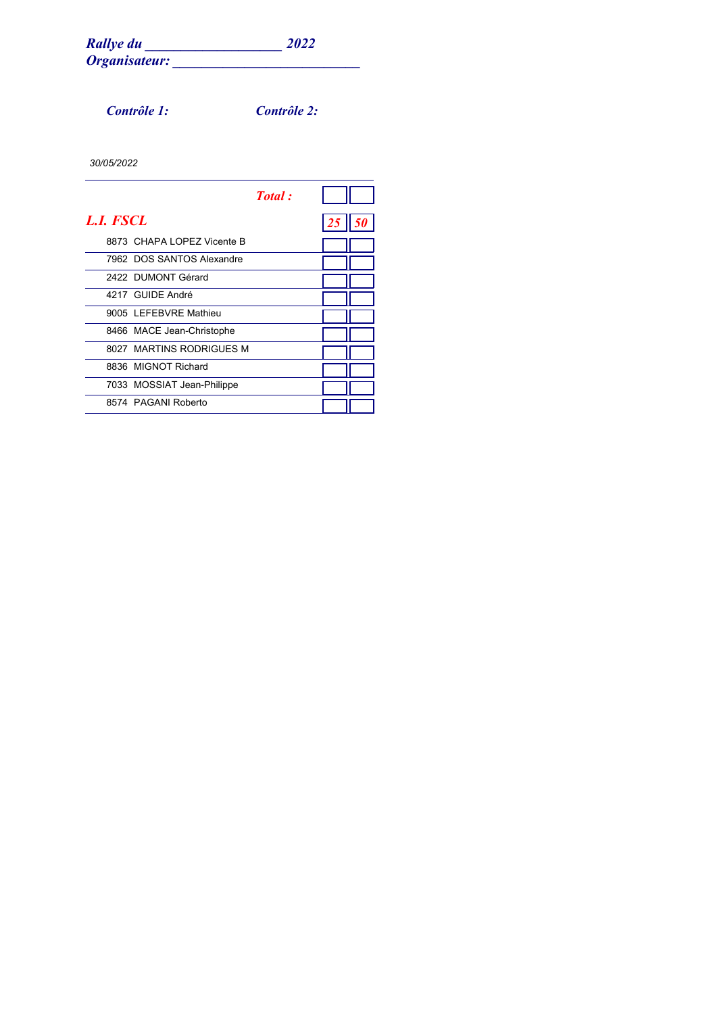*Contrôle 1: Contrôle 2:*

|                             | Total: |    |  |
|-----------------------------|--------|----|--|
| <b>L.I. FSCL</b>            |        | 25 |  |
| 8873 CHAPA I OPFZ Vicente B |        |    |  |
| 7962 DOS SANTOS Alexandre   |        |    |  |
| 2422 DUMONT Gérard          |        |    |  |
| 4217 GUIDE André            |        |    |  |
| 9005 I FFFBVRF Mathieu      |        |    |  |
| 8466 MACE Jean-Christophe   |        |    |  |
| 8027 MARTINS RODRIGUES M    |        |    |  |
| 8836 MIGNOT Richard         |        |    |  |
| 7033 MOSSIAT Jean-Philippe  |        |    |  |
| 8574 PAGANI Roberto         |        |    |  |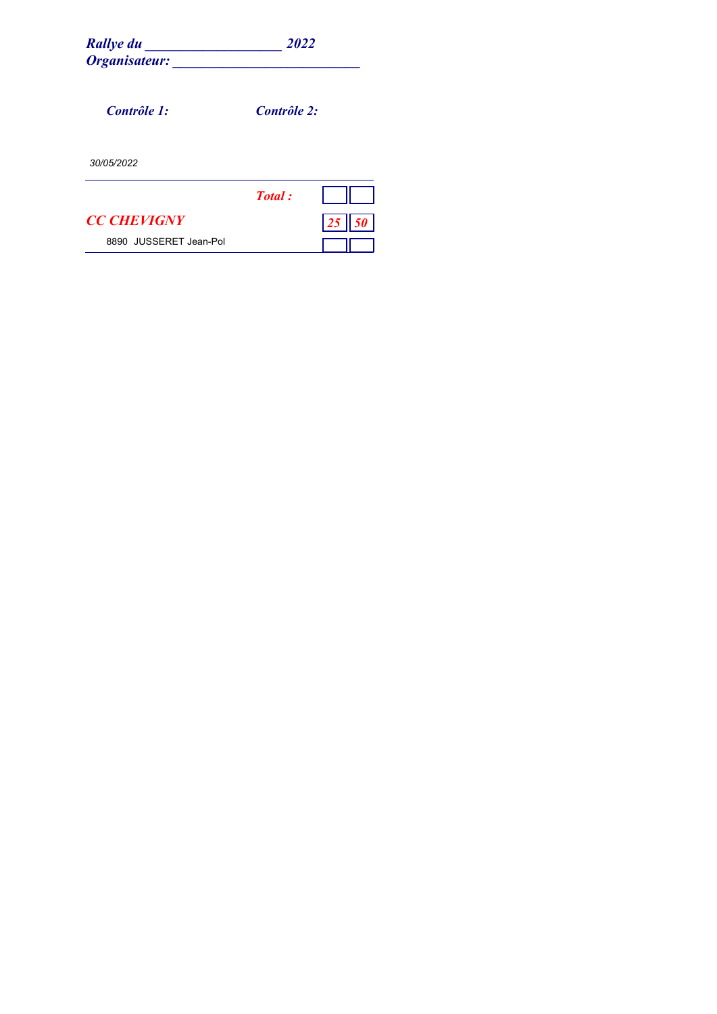| <b>Rallye du</b><br>Organisateur: | 2022        |
|-----------------------------------|-------------|
|                                   |             |
| Contrôle 1:                       | Contrôle 2: |
| 30/05/2022                        |             |
|                                   | Total:      |
| <b>CC CHEVIGNY</b>                |             |
| 8890 JUSSERET Jean-Pol            |             |